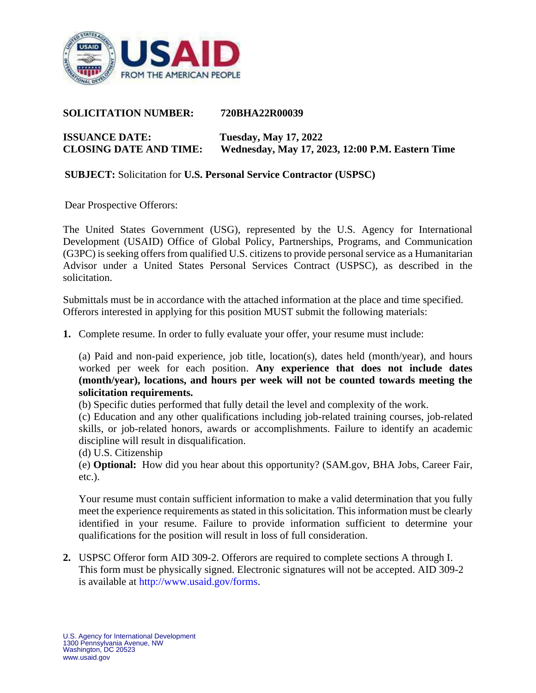

#### **SOLICITATION NUMBER: 720BHA22R00039**

# **ISSUANCE DATE: Tuesday, May 17, 2022 CLOSING DATE AND TIME: Wednesday, May 17, 2023, 12:00 P.M. Eastern Time**

#### **SUBJECT:** Solicitation for **U.S. Personal Service Contractor (USPSC)**

Dear Prospective Offerors:

The United States Government (USG), represented by the U.S. Agency for International Development (USAID) Office of Global Policy, Partnerships, Programs, and Communication (G3PC) is seeking offers from qualified U.S. citizens to provide personal service as a Humanitarian Advisor under a United States Personal Services Contract (USPSC), as described in the solicitation.

Submittals must be in accordance with the attached information at the place and time specified. Offerors interested in applying for this position MUST submit the following materials:

**1.** Complete resume. In order to fully evaluate your offer, your resume must include:

(a) Paid and non-paid experience, job title, location(s), dates held (month/year), and hours worked per week for each position. **Any experience that does not include dates (month/year), locations, and hours per week will not be counted towards meeting the solicitation requirements.**

(b) Specific duties performed that fully detail the level and complexity of the work.

(c) Education and any other qualifications including job-related training courses, job-related skills, or job-related honors, awards or accomplishments. Failure to identify an academic discipline will result in disqualification.

(d) U.S. Citizenship

(e) **Optional:** How did you hear about this opportunity? (SAM.gov, BHA Jobs, Career Fair, etc.).

Your resume must contain sufficient information to make a valid determination that you fully meet the experience requirements as stated in this solicitation. This information must be clearly identified in your resume. Failure to provide information sufficient to determine your qualifications for the position will result in loss of full consideration.

**2.** USPSC Offeror form AID 309-2. Offerors are required to complete sections A through I. This form must be physically signed. Electronic signatures will not be accepted. AID 309-2 is available at http://www.usaid.gov/forms.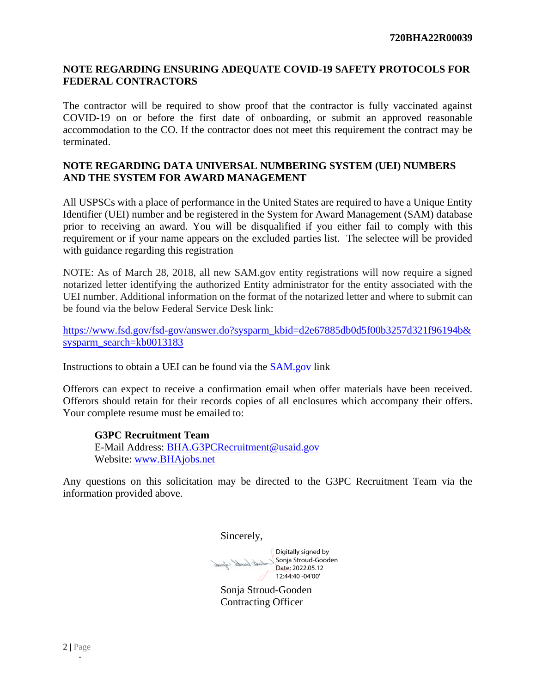### **NOTE REGARDING ENSURING ADEQUATE COVID-19 SAFETY PROTOCOLS FOR FEDERAL CONTRACTORS**

The contractor will be required to show proof that the contractor is fully vaccinated against COVID-19 on or before the first date of onboarding, or submit an approved reasonable accommodation to the CO. If the contractor does not meet this requirement the contract may be terminated.

### **NOTE REGARDING DATA UNIVERSAL NUMBERING SYSTEM (UEI) NUMBERS AND THE SYSTEM FOR AWARD MANAGEMENT**

All USPSCs with a place of performance in the United States are required to have a Unique Entity Identifier (UEI) number and be registered in the System for Award Management (SAM) database prior to receiving an award. You will be disqualified if you either fail to comply with this requirement or if your name appears on the excluded parties list. The selectee will be provided with guidance regarding this registration

NOTE: As of March 28, 2018, all new SAM.gov entity registrations will now require a signed notarized letter identifying the authorized Entity administrator for the entity associated with the UEI number. Additional information on the format of the notarized letter and where to submit can be found via the below Federal Service Desk link:

[https://www.fsd.gov/fsd-gov/answer.do?sysparm\\_kbid=d2e67885db0d5f00b3257d321f96194b&](https://www.fsd.gov/fsd-gov/answer.do?sysparm_kbid=d2e67885db0d5f00b3257d321f96194b&) sysparm\_search=kb0013183

Instructions to obtain a UEI can be found via th[e](https://www.fsd.gov/gsafsd_sp?id=kb_article_view&sysparm_article=KB0050039&sys_kb_id=52b5053e1bee8d54937fa64ce54bcbb3&spa=1) [SAM.gov](https://www.fsd.gov/gsafsd_sp?id=kb_article_view&sysparm_article=KB0050039&sys_kb_id=52b5053e1bee8d54937fa64ce54bcbb3&spa=1) link

Offerors can expect to receive a confirmation email when offer materials have been received. Offerors should retain for their records copies of all enclosures which accompany their offers. Your complete resume must be emailed to:

#### **G3PC Recruitment Team**

E-Mail Address: [BHA.G3PCRecruitment@usaid.gov](mailto:BHA.G3PCRecruitment@usaid.gov) Website: [www.BHAjobs.net](http://www.bhajobs.net/)

Any questions on this solicitation may be directed to the G3PC Recruitment Team via the information provided above.

Sincerely,

Digitally signed by Sonja Stroud-Gooden Date: 2022.05.12 12:44:40 -04'00'

Sonja Stroud-Gooden Contracting Officer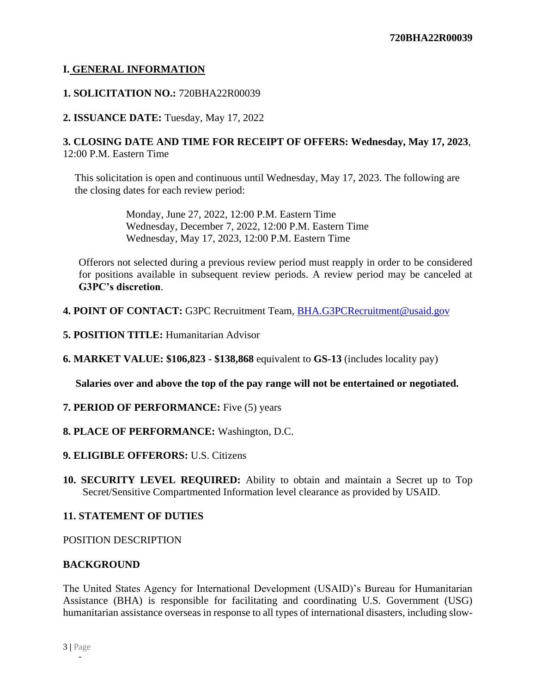### **I. GENERAL INFORMATION**

#### **1. SOLICITATION NO.:** 720BHA22R00039

**2. ISSUANCE DATE:** Tuesday, May 17, 2022

### **3. CLOSING DATE AND TIME FOR RECEIPT OF OFFERS: Wednesday, May 17, 2023**, 12:00 P.M. Eastern Time

This solicitation is open and continuous until Wednesday, May 17, 2023. The following are the closing dates for each review period:

> Monday, June 27, 2022, 12:00 P.M. Eastern Time Wednesday, December 7, 2022, 12:00 P.M. Eastern Time Wednesday, May 17, 2023, 12:00 P.M. Eastern Time

Offerors not selected during a previous review period must reapply in order to be considered for positions available in subsequent review periods. A review period may be canceled at **G3PC's discretion**.

- **4. POINT OF CONTACT:** G3PC Recruitment Team, **BHA.G3PCRecruitment@usaid.gov**
- **5. POSITION TITLE:** Humanitarian Advisor
- **6. MARKET VALUE: \$106,823 - \$138,868** equivalent to **GS-13** (includes locality pay)

**Salaries over and above the top of the pay range will not be entertained or negotiated.**

- **7. PERIOD OF PERFORMANCE:** Five (5) years
- **8. PLACE OF PERFORMANCE:** Washington, D.C.
- **9. ELIGIBLE OFFERORS:** U.S. Citizens
- **10. SECURITY LEVEL REQUIRED:** Ability to obtain and maintain a Secret up to Top Secret/Sensitive Compartmented Information level clearance as provided by USAID.

#### **11. STATEMENT OF DUTIES**

#### POSITION DESCRIPTION

#### **BACKGROUND**

The United States Agency for International Development (USAID)'s Bureau for Humanitarian Assistance (BHA) is responsible for facilitating and coordinating U.S. Government (USG) humanitarian assistance overseas in response to all types of international disasters, including slow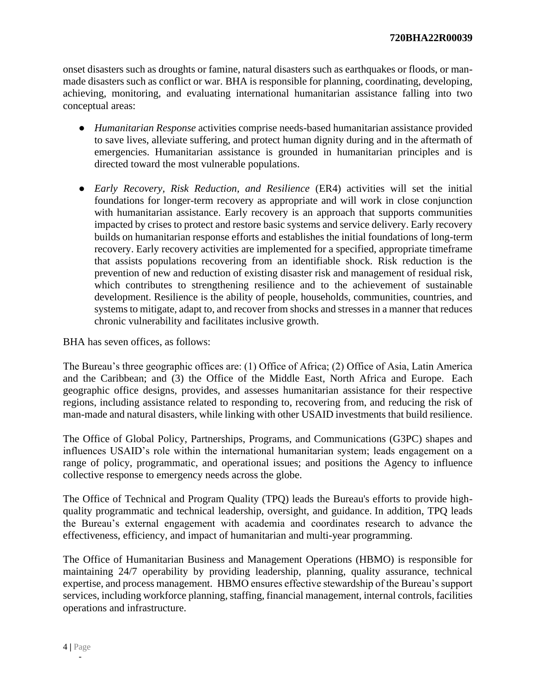onset disasters such as droughts or famine, natural disasters such as earthquakes or floods, or manmade disasters such as conflict or war. BHA is responsible for planning, coordinating, developing, achieving, monitoring, and evaluating international humanitarian assistance falling into two conceptual areas:

- *Humanitarian Response* activities comprise needs-based humanitarian assistance provided to save lives, alleviate suffering, and protect human dignity during and in the aftermath of emergencies. Humanitarian assistance is grounded in humanitarian principles and is directed toward the most vulnerable populations.
- *Early Recovery, Risk Reduction, and Resilience* (ER4) activities will set the initial foundations for longer-term recovery as appropriate and will work in close conjunction with humanitarian assistance. Early recovery is an approach that supports communities impacted by crises to protect and restore basic systems and service delivery. Early recovery builds on humanitarian response efforts and establishes the initial foundations of long-term recovery. Early recovery activities are implemented for a specified, appropriate timeframe that assists populations recovering from an identifiable shock. Risk reduction is the prevention of new and reduction of existing disaster risk and management of residual risk, which contributes to strengthening resilience and to the achievement of sustainable development. Resilience is the ability of people, households, communities, countries, and systems to mitigate, adapt to, and recover from shocks and stresses in a manner that reduces chronic vulnerability and facilitates inclusive growth.

BHA has seven offices, as follows:

The Bureau's three geographic offices are: (1) Office of Africa; (2) Office of Asia, Latin America and the Caribbean; and (3) the Office of the Middle East, North Africa and Europe. Each geographic office designs, provides, and assesses humanitarian assistance for their respective regions, including assistance related to responding to, recovering from, and reducing the risk of man-made and natural disasters, while linking with other USAID investments that build resilience.

The Office of Global Policy, Partnerships, Programs, and Communications (G3PC) shapes and influences USAID's role within the international humanitarian system; leads engagement on a range of policy, programmatic, and operational issues; and positions the Agency to influence collective response to emergency needs across the globe.

The Office of Technical and Program Quality (TPQ) leads the Bureau's efforts to provide highquality programmatic and technical leadership, oversight, and guidance. In addition, TPQ leads the Bureau's external engagement with academia and coordinates research to advance the effectiveness, efficiency, and impact of humanitarian and multi-year programming.

The Office of Humanitarian Business and Management Operations (HBMO) is responsible for maintaining 24/7 operability by providing leadership, planning, quality assurance, technical expertise, and process management. HBMO ensures effective stewardship of the Bureau's support services, including workforce planning, staffing, financial management, internal controls, facilities operations and infrastructure.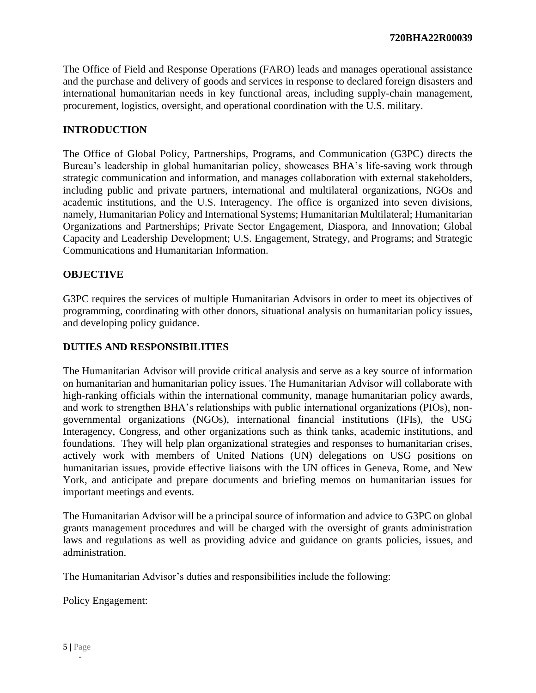The Office of Field and Response Operations (FARO) leads and manages operational assistance and the purchase and delivery of goods and services in response to declared foreign disasters and international humanitarian needs in key functional areas, including supply-chain management, procurement, logistics, oversight, and operational coordination with the U.S. military.

## **INTRODUCTION**

The Office of Global Policy, Partnerships, Programs, and Communication (G3PC) directs the Bureau's leadership in global humanitarian policy, showcases BHA's life-saving work through strategic communication and information, and manages collaboration with external stakeholders, including public and private partners, international and multilateral organizations, NGOs and academic institutions, and the U.S. Interagency. The office is organized into seven divisions, namely, Humanitarian Policy and International Systems; Humanitarian Multilateral; Humanitarian Organizations and Partnerships; Private Sector Engagement, Diaspora, and Innovation; Global Capacity and Leadership Development; U.S. Engagement, Strategy, and Programs; and Strategic Communications and Humanitarian Information.

### **OBJECTIVE**

G3PC requires the services of multiple Humanitarian Advisors in order to meet its objectives of programming, coordinating with other donors, situational analysis on humanitarian policy issues, and developing policy guidance.

### **DUTIES AND RESPONSIBILITIES**

The Humanitarian Advisor will provide critical analysis and serve as a key source of information on humanitarian and humanitarian policy issues. The Humanitarian Advisor will collaborate with high-ranking officials within the international community, manage humanitarian policy awards, and work to strengthen BHA's relationships with public international organizations (PIOs), nongovernmental organizations (NGOs), international financial institutions (IFIs), the USG Interagency, Congress, and other organizations such as think tanks, academic institutions, and foundations. They will help plan organizational strategies and responses to humanitarian crises, actively work with members of United Nations (UN) delegations on USG positions on humanitarian issues, provide effective liaisons with the UN offices in Geneva, Rome, and New York, and anticipate and prepare documents and briefing memos on humanitarian issues for important meetings and events.

The Humanitarian Advisor will be a principal source of information and advice to G3PC on global grants management procedures and will be charged with the oversight of grants administration laws and regulations as well as providing advice and guidance on grants policies, issues, and administration.

The Humanitarian Advisor's duties and responsibilities include the following:

Policy Engagement: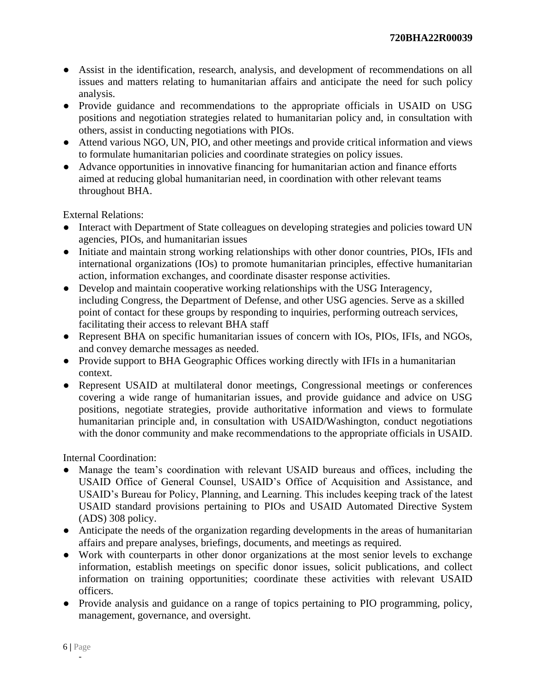- Assist in the identification, research, analysis, and development of recommendations on all issues and matters relating to humanitarian affairs and anticipate the need for such policy analysis.
- Provide guidance and recommendations to the appropriate officials in USAID on USG positions and negotiation strategies related to humanitarian policy and, in consultation with others, assist in conducting negotiations with PIOs.
- Attend various NGO, UN, PIO, and other meetings and provide critical information and views to formulate humanitarian policies and coordinate strategies on policy issues.
- Advance opportunities in innovative financing for humanitarian action and finance efforts aimed at reducing global humanitarian need, in coordination with other relevant teams throughout BHA.

External Relations:

- Interact with Department of State colleagues on developing strategies and policies toward UN agencies, PIOs, and humanitarian issues
- Initiate and maintain strong working relationships with other donor countries, PIOs, IFIs and international organizations (IOs) to promote humanitarian principles, effective humanitarian action, information exchanges, and coordinate disaster response activities.
- Develop and maintain cooperative working relationships with the USG Interagency, including Congress, the Department of Defense, and other USG agencies. Serve as a skilled point of contact for these groups by responding to inquiries, performing outreach services, facilitating their access to relevant BHA staff
- Represent BHA on specific humanitarian issues of concern with IOs, PIOs, IFIs, and NGOs, and convey demarche messages as needed.
- Provide support to BHA Geographic Offices working directly with IFIs in a humanitarian context.
- Represent USAID at multilateral donor meetings, Congressional meetings or conferences covering a wide range of humanitarian issues, and provide guidance and advice on USG positions, negotiate strategies, provide authoritative information and views to formulate humanitarian principle and, in consultation with USAID/Washington, conduct negotiations with the donor community and make recommendations to the appropriate officials in USAID.

Internal Coordination:

- Manage the team's coordination with relevant USAID bureaus and offices, including the USAID Office of General Counsel, USAID's Office of Acquisition and Assistance, and USAID's Bureau for Policy, Planning, and Learning. This includes keeping track of the latest USAID standard provisions pertaining to PIOs and USAID Automated Directive System (ADS) 308 policy.
- Anticipate the needs of the organization regarding developments in the areas of humanitarian affairs and prepare analyses, briefings, documents, and meetings as required.
- Work with counterparts in other donor organizations at the most senior levels to exchange information, establish meetings on specific donor issues, solicit publications, and collect information on training opportunities; coordinate these activities with relevant USAID officers.
- Provide analysis and guidance on a range of topics pertaining to PIO programming, policy, management, governance, and oversight.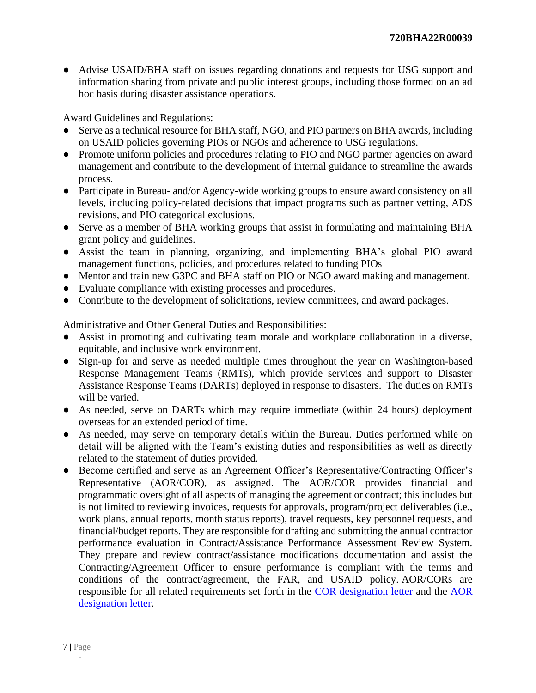• Advise USAID/BHA staff on issues regarding donations and requests for USG support and information sharing from private and public interest groups, including those formed on an ad hoc basis during disaster assistance operations.

Award Guidelines and Regulations:

- Serve as a technical resource for BHA staff, NGO, and PIO partners on BHA awards, including on USAID policies governing PIOs or NGOs and adherence to USG regulations.
- Promote uniform policies and procedures relating to PIO and NGO partner agencies on award management and contribute to the development of internal guidance to streamline the awards process.
- Participate in Bureau- and/or Agency-wide working groups to ensure award consistency on all levels, including policy-related decisions that impact programs such as partner vetting, ADS revisions, and PIO categorical exclusions.
- Serve as a member of BHA working groups that assist in formulating and maintaining BHA grant policy and guidelines.
- Assist the team in planning, organizing, and implementing BHA's global PIO award management functions, policies, and procedures related to funding PIOs
- Mentor and train new G3PC and BHA staff on PIO or NGO award making and management.
- Evaluate compliance with existing processes and procedures.
- Contribute to the development of solicitations, review committees, and award packages.

Administrative and Other General Duties and Responsibilities:

- Assist in promoting and cultivating team morale and workplace collaboration in a diverse, equitable, and inclusive work environment.
- Sign-up for and serve as needed multiple times throughout the year on Washington-based Response Management Teams (RMTs), which provide services and support to Disaster Assistance Response Teams (DARTs) deployed in response to disasters. The duties on RMTs will be varied.
- As needed, serve on DARTs which may require immediate (within 24 hours) deployment overseas for an extended period of time.
- As needed, may serve on temporary details within the Bureau. Duties performed while on detail will be aligned with the Team's existing duties and responsibilities as well as directly related to the statement of duties provided.
- Become certified and serve as an Agreement Officer's Representative/Contracting Officer's Representative (AOR/COR), as assigned. The AOR/COR provides financial and programmatic oversight of all aspects of managing the agreement or contract; this includes but is not limited to reviewing invoices, requests for approvals, program/project deliverables (i.e., work plans, annual reports, month status reports), travel requests, key personnel requests, and financial/budget reports. They are responsible for drafting and submitting the annual contractor performance evaluation in Contract/Assistance Performance Assessment Review System. They prepare and review contract/assistance modifications documentation and assist the Contracting/Agreement Officer to ensure performance is compliant with the terms and conditions of the contract/agreement, the FAR, and USAID policy. AOR/CORs are responsible for all related requirements set forth in the [COR designation letter](https://www.usaid.gov/ads/policy/300/302mar) and the [AOR](https://www.usaid.gov/ads/policy/300/303mai)  [designation letter.](https://www.usaid.gov/ads/policy/300/303mai)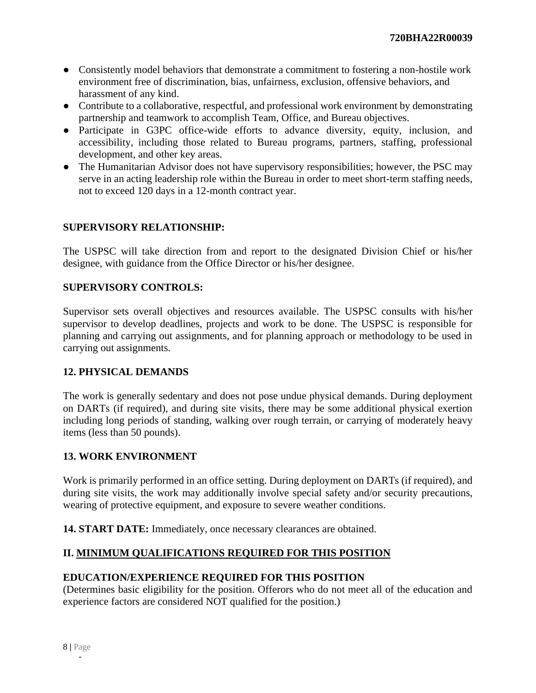- Consistently model behaviors that demonstrate a commitment to fostering a non-hostile work environment free of discrimination, bias, unfairness, exclusion, offensive behaviors, and harassment of any kind.
- Contribute to a collaborative, respectful, and professional work environment by demonstrating partnership and teamwork to accomplish Team, Office, and Bureau objectives.
- Participate in G3PC office-wide efforts to advance diversity, equity, inclusion, and accessibility, including those related to Bureau programs, partners, staffing, professional development, and other key areas.
- The Humanitarian Advisor does not have supervisory responsibilities; however, the PSC may serve in an acting leadership role within the Bureau in order to meet short-term staffing needs, not to exceed 120 days in a 12-month contract year.

## **SUPERVISORY RELATIONSHIP:**

The USPSC will take direction from and report to the designated Division Chief or his/her designee, with guidance from the Office Director or his/her designee.

### **SUPERVISORY CONTROLS:**

Supervisor sets overall objectives and resources available. The USPSC consults with his/her supervisor to develop deadlines, projects and work to be done. The USPSC is responsible for planning and carrying out assignments, and for planning approach or methodology to be used in carrying out assignments.

#### **12. PHYSICAL DEMANDS**

The work is generally sedentary and does not pose undue physical demands. During deployment on DARTs (if required), and during site visits, there may be some additional physical exertion including long periods of standing, walking over rough terrain, or carrying of moderately heavy items (less than 50 pounds).

#### **13. WORK ENVIRONMENT**

Work is primarily performed in an office setting. During deployment on DARTs (if required), and during site visits, the work may additionally involve special safety and/or security precautions, wearing of protective equipment, and exposure to severe weather conditions.

**14. START DATE:** Immediately, once necessary clearances are obtained.

## **II. MINIMUM QUALIFICATIONS REQUIRED FOR THIS POSITION**

## **EDUCATION/EXPERIENCE REQUIRED FOR THIS POSITION**

(Determines basic eligibility for the position. Offerors who do not meet all of the education and experience factors are considered NOT qualified for the position.)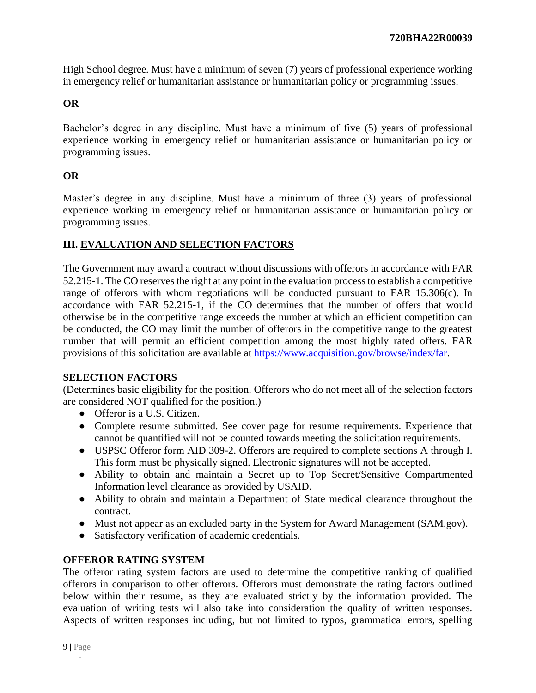High School degree. Must have a minimum of seven (7) years of professional experience working in emergency relief or humanitarian assistance or humanitarian policy or programming issues.

### **OR**

Bachelor's degree in any discipline. Must have a minimum of five (5) years of professional experience working in emergency relief or humanitarian assistance or humanitarian policy or programming issues.

## **OR**

Master's degree in any discipline. Must have a minimum of three (3) years of professional experience working in emergency relief or humanitarian assistance or humanitarian policy or programming issues.

### **III. EVALUATION AND SELECTION FACTORS**

The Government may award a contract without discussions with offerors in accordance with FAR 52.215-1. The CO reserves the right at any point in the evaluation process to establish a competitive range of offerors with whom negotiations will be conducted pursuant to FAR 15.306(c). In accordance with FAR 52.215-1, if the CO determines that the number of offers that would otherwise be in the competitive range exceeds the number at which an efficient competition can be conducted, the CO may limit the number of offerors in the competitive range to the greatest number that will permit an efficient competition among the most highly rated offers. FAR provisions of this solicitation are available at [https://www.acquisition.gov/browse/index/far.](https://www.acquisition.gov/browse/index/far)

## **SELECTION FACTORS**

(Determines basic eligibility for the position. Offerors who do not meet all of the selection factors are considered NOT qualified for the position.)

- Offeror is a U.S. Citizen.
- Complete resume submitted. See cover page for resume requirements. Experience that cannot be quantified will not be counted towards meeting the solicitation requirements.
- USPSC Offeror form AID 309-2. Offerors are required to complete sections A through I. This form must be physically signed. Electronic signatures will not be accepted.
- Ability to obtain and maintain a Secret up to Top Secret/Sensitive Compartmented Information level clearance as provided by USAID.
- Ability to obtain and maintain a Department of State medical clearance throughout the contract.
- Must not appear as an excluded party in the System for Award Management (SAM.gov).
- Satisfactory verification of academic credentials.

## **OFFEROR RATING SYSTEM**

The offeror rating system factors are used to determine the competitive ranking of qualified offerors in comparison to other offerors. Offerors must demonstrate the rating factors outlined below within their resume, as they are evaluated strictly by the information provided. The evaluation of writing tests will also take into consideration the quality of written responses. Aspects of written responses including, but not limited to typos, grammatical errors, spelling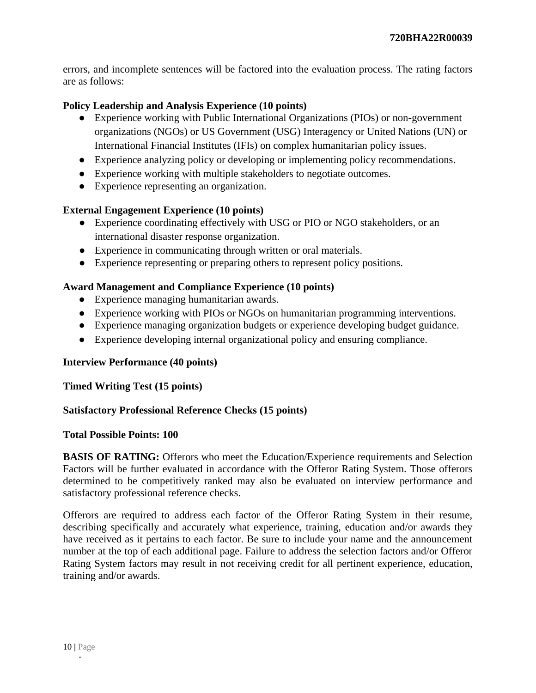errors, and incomplete sentences will be factored into the evaluation process. The rating factors are as follows:

### **Policy Leadership and Analysis Experience (10 points)**

- Experience working with Public International Organizations (PIOs) or non-government organizations (NGOs) or US Government (USG) Interagency or United Nations (UN) or International Financial Institutes (IFIs) on complex humanitarian policy issues.
- Experience analyzing policy or developing or implementing policy recommendations.
- Experience working with multiple stakeholders to negotiate outcomes.
- Experience representing an organization.

#### **External Engagement Experience (10 points)**

- Experience coordinating effectively with USG or PIO or NGO stakeholders, or an international disaster response organization.
- Experience in communicating through written or oral materials.
- Experience representing or preparing others to represent policy positions.

#### **Award Management and Compliance Experience (10 points)**

- Experience managing humanitarian awards.
- Experience working with PIOs or NGOs on humanitarian programming interventions.
- Experience managing organization budgets or experience developing budget guidance.
- Experience developing internal organizational policy and ensuring compliance.

#### **Interview Performance (40 points)**

#### **Timed Writing Test (15 points)**

#### **Satisfactory Professional Reference Checks (15 points)**

#### **Total Possible Points: 100**

**BASIS OF RATING:** Offerors who meet the Education/Experience requirements and Selection Factors will be further evaluated in accordance with the Offeror Rating System. Those offerors determined to be competitively ranked may also be evaluated on interview performance and satisfactory professional reference checks.

Offerors are required to address each factor of the Offeror Rating System in their resume, describing specifically and accurately what experience, training, education and/or awards they have received as it pertains to each factor. Be sure to include your name and the announcement number at the top of each additional page. Failure to address the selection factors and/or Offeror Rating System factors may result in not receiving credit for all pertinent experience, education, training and/or awards.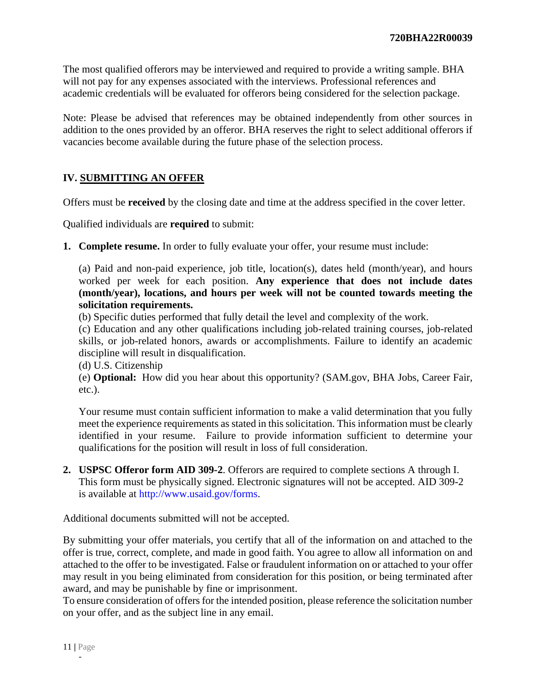The most qualified offerors may be interviewed and required to provide a writing sample. BHA will not pay for any expenses associated with the interviews. Professional references and academic credentials will be evaluated for offerors being considered for the selection package.

Note: Please be advised that references may be obtained independently from other sources in addition to the ones provided by an offeror. BHA reserves the right to select additional offerors if vacancies become available during the future phase of the selection process.

## **IV. SUBMITTING AN OFFER**

Offers must be **received** by the closing date and time at the address specified in the cover letter.

Qualified individuals are **required** to submit:

**1. Complete resume.** In order to fully evaluate your offer, your resume must include:

(a) Paid and non-paid experience, job title, location(s), dates held (month/year), and hours worked per week for each position. **Any experience that does not include dates (month/year), locations, and hours per week will not be counted towards meeting the solicitation requirements.**

(b) Specific duties performed that fully detail the level and complexity of the work.

(c) Education and any other qualifications including job-related training courses, job-related skills, or job-related honors, awards or accomplishments. Failure to identify an academic discipline will result in disqualification.

(d) U.S. Citizenship

(e) **Optional:** How did you hear about this opportunity? (SAM.gov, BHA Jobs, Career Fair, etc.).

Your resume must contain sufficient information to make a valid determination that you fully meet the experience requirements as stated in this solicitation. This information must be clearly identified in your resume. Failure to provide information sufficient to determine your qualifications for the position will result in loss of full consideration.

**2. USPSC Offeror form AID 309-2**. Offerors are required to complete sections A through I. This form must be physically signed. Electronic signatures will not be accepted. AID 309-2 is available at http://www.usaid.gov/forms.

Additional documents submitted will not be accepted.

By submitting your offer materials, you certify that all of the information on and attached to the offer is true, correct, complete, and made in good faith. You agree to allow all information on and attached to the offer to be investigated. False or fraudulent information on or attached to your offer may result in you being eliminated from consideration for this position, or being terminated after award, and may be punishable by fine or imprisonment.

To ensure consideration of offers for the intended position, please reference the solicitation number on your offer, and as the subject line in any email.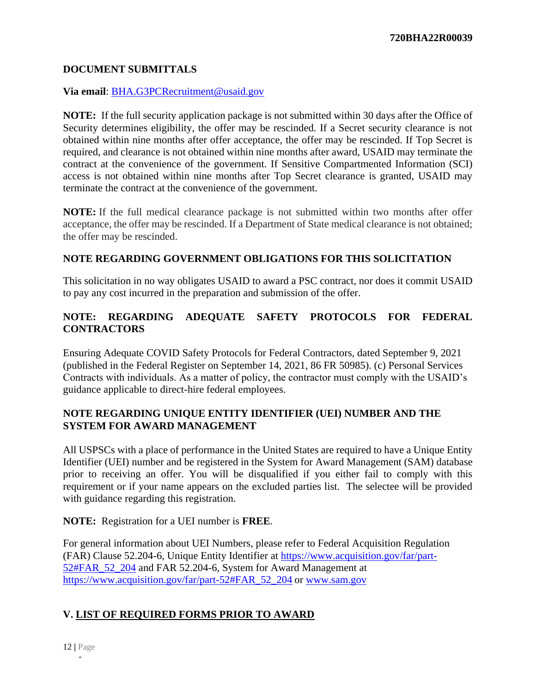### **DOCUMENT SUBMITTALS**

#### **Via email**: [BHA.G3PCRecruitment@usaid.gov](mailto:BHA.G3PCRecruitment@usaid.gov)

**NOTE:** If the full security application package is not submitted within 30 days after the Office of Security determines eligibility, the offer may be rescinded. If a Secret security clearance is not obtained within nine months after offer acceptance, the offer may be rescinded. If Top Secret is required, and clearance is not obtained within nine months after award, USAID may terminate the contract at the convenience of the government. If Sensitive Compartmented Information (SCI) access is not obtained within nine months after Top Secret clearance is granted, USAID may terminate the contract at the convenience of the government.

**NOTE:** If the full medical clearance package is not submitted within two months after offer acceptance, the offer may be rescinded. If a Department of State medical clearance is not obtained; the offer may be rescinded.

#### **NOTE REGARDING GOVERNMENT OBLIGATIONS FOR THIS SOLICITATION**

This solicitation in no way obligates USAID to award a PSC contract, nor does it commit USAID to pay any cost incurred in the preparation and submission of the offer.

## **NOTE: REGARDING ADEQUATE SAFETY PROTOCOLS FOR FEDERAL CONTRACTORS**

Ensuring Adequate COVID Safety Protocols for Federal Contractors, dated September 9, 2021 (published in the Federal Register on September 14, 2021, 86 FR 50985). (c) Personal Services Contracts with individuals. As a matter of policy, the contractor must comply with the USAID's guidance applicable to direct-hire federal employees.

### **NOTE REGARDING UNIQUE ENTITY IDENTIFIER (UEI) NUMBER AND THE SYSTEM FOR AWARD MANAGEMENT**

All USPSCs with a place of performance in the United States are required to have a Unique Entity Identifier (UEI) number and be registered in the System for Award Management (SAM) database prior to receiving an offer. You will be disqualified if you either fail to comply with this requirement or if your name appears on the excluded parties list. The selectee will be provided with guidance regarding this registration.

#### **NOTE:** Registration for a UEI number is **FREE**.

For general information about UEI Numbers, please refer to Federal Acquisition Regulation (FAR) Clause 52.204-6, Unique Entity Identifier at [https://www.acquisition.gov/far/part-](https://www.acquisition.gov/far/part-52#FAR_52_204)[52#FAR\\_52\\_204](https://www.acquisition.gov/far/part-52#FAR_52_204) and FAR 52.204-6, System for Award Management a[t](https://www.acquisition.gov/far/part-52#FAR_52_204) [https://www.acquisition.gov/far/part-52#FAR\\_52\\_204](https://www.acquisition.gov/far/part-52#FAR_52_204) o[r](http://www.sam.gov/) [www.sam.gov](http://www.sam.gov/)

## **V. LIST OF REQUIRED FORMS PRIOR TO AWARD**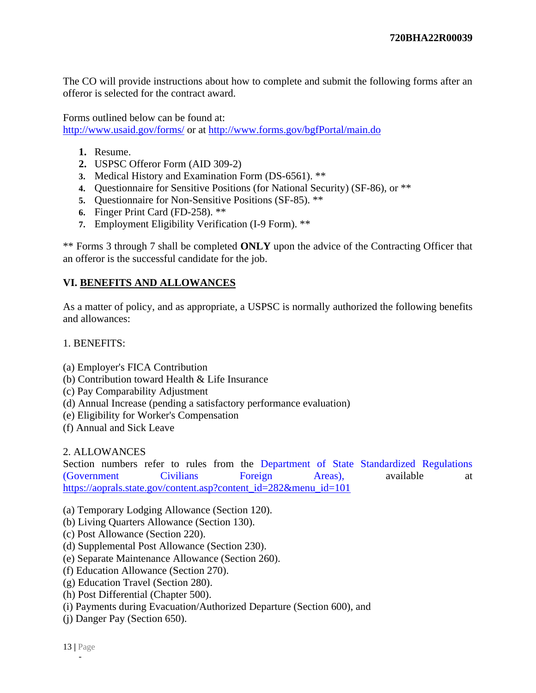The CO will provide instructions about how to complete and submit the following forms after an offeror is selected for the contract award.

Forms outlined below can be found at: <http://www.usaid.gov/forms/> or at<http://www.forms.gov/bgfPortal/main.do>

- **1.** Resume.
- **2.** USPSC Offeror Form (AID 309-2)
- **3.** Medical History and Examination Form (DS-6561). \*\*
- **4.** Questionnaire for Sensitive Positions (for National Security) (SF-86), or \*\*
- **5.** Questionnaire for Non-Sensitive Positions (SF-85). \*\*
- **6.** Finger Print Card (FD-258). \*\*
- **7.** Employment Eligibility Verification (I-9 Form). \*\*

\*\* Forms 3 through 7 shall be completed **ONLY** upon the advice of the Contracting Officer that an offeror is the successful candidate for the job.

### **VI. BENEFITS AND ALLOWANCES**

As a matter of policy, and as appropriate, a USPSC is normally authorized the following benefits and allowances:

1. BENEFITS:

- (a) Employer's FICA Contribution
- (b) Contribution toward Health & Life Insurance
- (c) Pay Comparability Adjustment
- (d) Annual Increase (pending a satisfactory performance evaluation)
- (e) Eligibility for Worker's Compensation
- (f) Annual and Sick Leave

2. ALLOWANCES

Section numbers refer to rules from the Department of State Standardized Regulations (Government Civilians Foreign Areas), available at [https://aoprals.state.gov/content.asp?content\\_id=282&menu\\_id=101](https://aoprals.state.gov/content.asp?content_id=282&menu_id=101)

- (a) Temporary Lodging Allowance (Section 120).
- (b) Living Quarters Allowance (Section 130).
- (c) Post Allowance (Section 220).
- (d) Supplemental Post Allowance (Section 230).
- (e) Separate Maintenance Allowance (Section 260).
- (f) Education Allowance (Section 270).
- (g) Education Travel (Section 280).
- (h) Post Differential (Chapter 500).
- (i) Payments during Evacuation/Authorized Departure (Section 600), and
- (j) Danger Pay (Section 650).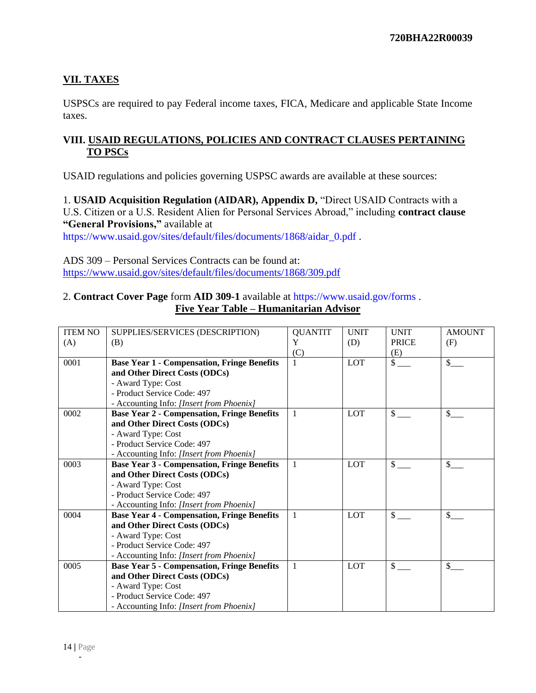# **VII. TAXES**

USPSCs are required to pay Federal income taxes, FICA, Medicare and applicable State Income taxes.

## **VIII. USAID REGULATIONS, POLICIES AND CONTRACT CLAUSES PERTAINING TO PSCs**

USAID regulations and policies governing USPSC awards are available at these sources:

1. **USAID Acquisition Regulation (AIDAR), Appendix D,** "Direct USAID Contracts with a U.S. Citizen or a U.S. Resident Alien for Personal Services Abroad," including **contract clause "General Provisions,"** available at

https://www.usaid.gov/sites/default/files/documents/1868/aidar\_0.pdf .

ADS 309 – Personal Services Contracts can be found at: <https://www.usaid.gov/sites/default/files/documents/1868/309.pdf>

### 2. **Contract Cover Page** form **AID 309-1** available at https://www.usaid.gov/forms . **Five Year Table – Humanitarian Advisor**

| <b>ITEM NO</b> | SUPPLIES/SERVICES (DESCRIPTION)                    | <b>QUANTIT</b> | <b>UNIT</b> | <b>UNIT</b>   | <b>AMOUNT</b> |
|----------------|----------------------------------------------------|----------------|-------------|---------------|---------------|
| (A)            | (B)                                                | Y              | (D)         | <b>PRICE</b>  | (F)           |
|                |                                                    | (C)            |             | (E)           |               |
| 0001           | <b>Base Year 1 - Compensation, Fringe Benefits</b> | 1              | LOT         | $\frac{1}{2}$ | $\mathcal{S}$ |
|                | and Other Direct Costs (ODCs)                      |                |             |               |               |
|                | - Award Type: Cost                                 |                |             |               |               |
|                | - Product Service Code: 497                        |                |             |               |               |
|                | - Accounting Info: [Insert from Phoenix]           |                |             |               |               |
| 0002           | <b>Base Year 2 - Compensation, Fringe Benefits</b> | 1              | LOT         | $\mathbb{S}$  | \$            |
|                | and Other Direct Costs (ODCs)                      |                |             |               |               |
|                | - Award Type: Cost                                 |                |             |               |               |
|                | - Product Service Code: 497                        |                |             |               |               |
|                | - Accounting Info: [Insert from Phoenix]           |                |             |               |               |
| 0003           | <b>Base Year 3 - Compensation, Fringe Benefits</b> | 1              | <b>LOT</b>  | $\mathbb{S}$  | \$            |
|                | and Other Direct Costs (ODCs)                      |                |             |               |               |
|                | - Award Type: Cost                                 |                |             |               |               |
|                | - Product Service Code: 497                        |                |             |               |               |
|                | - Accounting Info: [Insert from Phoenix]           |                |             |               |               |
| 0004           | <b>Base Year 4 - Compensation, Fringe Benefits</b> | $\mathbf{1}$   | LOT         | $\mathbb{S}$  | \$            |
|                | and Other Direct Costs (ODCs)                      |                |             |               |               |
|                | - Award Type: Cost                                 |                |             |               |               |
|                | - Product Service Code: 497                        |                |             |               |               |
|                | - Accounting Info: [Insert from Phoenix]           |                |             |               |               |
| 0005           | <b>Base Year 5 - Compensation, Fringe Benefits</b> | 1              | <b>LOT</b>  | \$            | \$            |
|                | and Other Direct Costs (ODCs)                      |                |             |               |               |
|                | - Award Type: Cost                                 |                |             |               |               |
|                | - Product Service Code: 497                        |                |             |               |               |
|                | - Accounting Info: [Insert from Phoenix]           |                |             |               |               |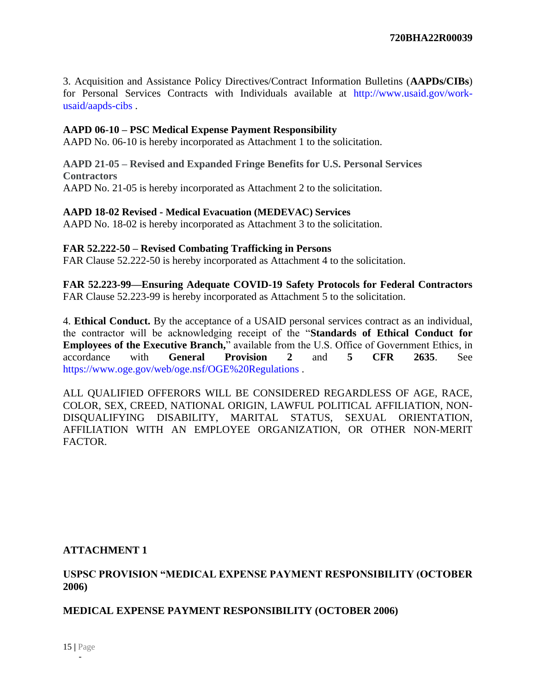3. Acquisition and Assistance Policy Directives/Contract Information Bulletins (**AAPDs/CIBs**) for Personal Services Contracts with Individuals available at http://www.usaid.gov/workusaid/aapds-cibs .

#### **AAPD 06-10 – PSC Medical Expense Payment Responsibility**

AAPD No. 06-10 is hereby incorporated as Attachment 1 to the solicitation.

**AAPD 21-05 – Revised and Expanded Fringe Benefits for U.S. Personal Services Contractors** AAPD No. 21-05 is hereby incorporated as Attachment 2 to the solicitation.

#### **AAPD 18-02 Revised - Medical Evacuation (MEDEVAC) Services**

AAPD No. 18-02 is hereby incorporated as Attachment 3 to the solicitation.

#### **FAR 52.222-50 – Revised Combating Trafficking in Persons**

FAR Clause 52.222-50 is hereby incorporated as Attachment 4 to the solicitation.

**FAR 52.223-99—Ensuring Adequate COVID-19 Safety Protocols for Federal Contractors**  FAR Clause 52.223-99 is hereby incorporated as Attachment 5 to the solicitation.

4. **Ethical Conduct.** By the acceptance of a USAID personal services contract as an individual, the contractor will be acknowledging receipt of the "**Standards of Ethical Conduct for Employees of the Executive Branch,**" available from the U.S. Office of Government Ethics, in accordance with **General Provision 2** and **5 CFR 2635**. See https://www.oge.gov/web/oge.nsf/OGE%20Regulations .

ALL QUALIFIED OFFERORS WILL BE CONSIDERED REGARDLESS OF AGE, RACE, COLOR, SEX, CREED, NATIONAL ORIGIN, LAWFUL POLITICAL AFFILIATION, NON-DISQUALIFYING DISABILITY, MARITAL STATUS, SEXUAL ORIENTATION, AFFILIATION WITH AN EMPLOYEE ORGANIZATION, OR OTHER NON-MERIT FACTOR.

#### **ATTACHMENT 1**

## **USPSC PROVISION "MEDICAL EXPENSE PAYMENT RESPONSIBILITY (OCTOBER 2006)**

#### **MEDICAL EXPENSE PAYMENT RESPONSIBILITY (OCTOBER 2006)**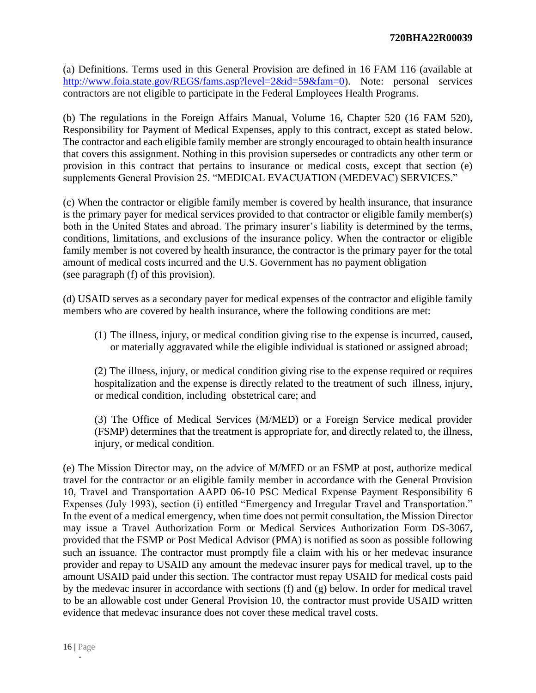(a) Definitions. Terms used in this General Provision are defined in 16 FAM 116 (available at [http://www.foia.state.gov/REGS/fams.asp?level=2&id=59&fam=0\)](http://www.foia.state.gov/REGS/fams.asp?level=2&id=59&fam=0). Note: personal services contractors are not eligible to participate in the Federal Employees Health Programs.

(b) The regulations in the Foreign Affairs Manual, Volume 16, Chapter 520 (16 FAM 520), Responsibility for Payment of Medical Expenses, apply to this contract, except as stated below. The contractor and each eligible family member are strongly encouraged to obtain health insurance that covers this assignment. Nothing in this provision supersedes or contradicts any other term or provision in this contract that pertains to insurance or medical costs, except that section (e) supplements General Provision 25. "MEDICAL EVACUATION (MEDEVAC) SERVICES."

(c) When the contractor or eligible family member is covered by health insurance, that insurance is the primary payer for medical services provided to that contractor or eligible family member(s) both in the United States and abroad. The primary insurer's liability is determined by the terms, conditions, limitations, and exclusions of the insurance policy. When the contractor or eligible family member is not covered by health insurance, the contractor is the primary payer for the total amount of medical costs incurred and the U.S. Government has no payment obligation (see paragraph (f) of this provision).

(d) USAID serves as a secondary payer for medical expenses of the contractor and eligible family members who are covered by health insurance, where the following conditions are met:

(1) The illness, injury, or medical condition giving rise to the expense is incurred, caused, or materially aggravated while the eligible individual is stationed or assigned abroad;

(2) The illness, injury, or medical condition giving rise to the expense required or requires hospitalization and the expense is directly related to the treatment of such illness, injury, or medical condition, including obstetrical care; and

(3) The Office of Medical Services (M/MED) or a Foreign Service medical provider (FSMP) determines that the treatment is appropriate for, and directly related to, the illness, injury, or medical condition.

(e) The Mission Director may, on the advice of M/MED or an FSMP at post, authorize medical travel for the contractor or an eligible family member in accordance with the General Provision 10, Travel and Transportation AAPD 06-10 PSC Medical Expense Payment Responsibility 6 Expenses (July 1993), section (i) entitled "Emergency and Irregular Travel and Transportation." In the event of a medical emergency, when time does not permit consultation, the Mission Director may issue a Travel Authorization Form or Medical Services Authorization Form DS-3067, provided that the FSMP or Post Medical Advisor (PMA) is notified as soon as possible following such an issuance. The contractor must promptly file a claim with his or her medevac insurance provider and repay to USAID any amount the medevac insurer pays for medical travel, up to the amount USAID paid under this section. The contractor must repay USAID for medical costs paid by the medevac insurer in accordance with sections (f) and (g) below. In order for medical travel to be an allowable cost under General Provision 10, the contractor must provide USAID written evidence that medevac insurance does not cover these medical travel costs.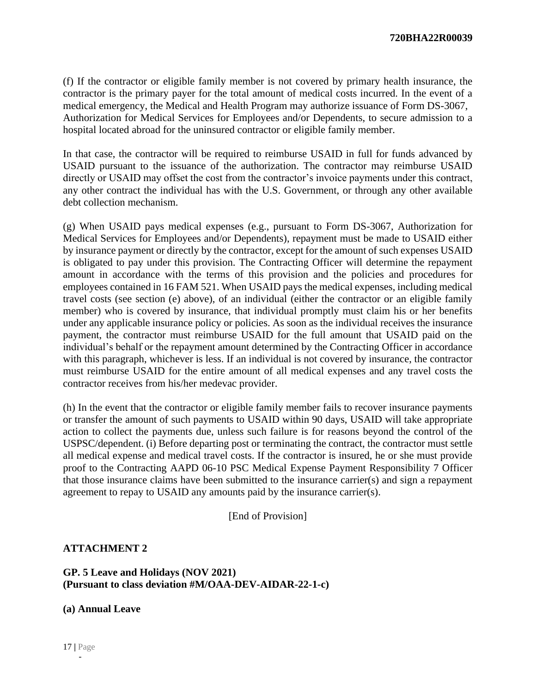(f) If the contractor or eligible family member is not covered by primary health insurance, the contractor is the primary payer for the total amount of medical costs incurred. In the event of a medical emergency, the Medical and Health Program may authorize issuance of Form DS-3067, Authorization for Medical Services for Employees and/or Dependents, to secure admission to a hospital located abroad for the uninsured contractor or eligible family member.

In that case, the contractor will be required to reimburse USAID in full for funds advanced by USAID pursuant to the issuance of the authorization. The contractor may reimburse USAID directly or USAID may offset the cost from the contractor's invoice payments under this contract, any other contract the individual has with the U.S. Government, or through any other available debt collection mechanism.

(g) When USAID pays medical expenses (e.g., pursuant to Form DS-3067, Authorization for Medical Services for Employees and/or Dependents), repayment must be made to USAID either by insurance payment or directly by the contractor, except for the amount of such expenses USAID is obligated to pay under this provision. The Contracting Officer will determine the repayment amount in accordance with the terms of this provision and the policies and procedures for employees contained in 16 FAM 521. When USAID pays the medical expenses, including medical travel costs (see section (e) above), of an individual (either the contractor or an eligible family member) who is covered by insurance, that individual promptly must claim his or her benefits under any applicable insurance policy or policies. As soon as the individual receives the insurance payment, the contractor must reimburse USAID for the full amount that USAID paid on the individual's behalf or the repayment amount determined by the Contracting Officer in accordance with this paragraph, whichever is less. If an individual is not covered by insurance, the contractor must reimburse USAID for the entire amount of all medical expenses and any travel costs the contractor receives from his/her medevac provider.

(h) In the event that the contractor or eligible family member fails to recover insurance payments or transfer the amount of such payments to USAID within 90 days, USAID will take appropriate action to collect the payments due, unless such failure is for reasons beyond the control of the USPSC/dependent. (i) Before departing post or terminating the contract, the contractor must settle all medical expense and medical travel costs. If the contractor is insured, he or she must provide proof to the Contracting AAPD 06-10 PSC Medical Expense Payment Responsibility 7 Officer that those insurance claims have been submitted to the insurance carrier(s) and sign a repayment agreement to repay to USAID any amounts paid by the insurance carrier(s).

[End of Provision]

## **ATTACHMENT 2**

### **GP. 5 Leave and Holidays (NOV 2021) (Pursuant to class deviation #M/OAA-DEV-AIDAR-22-1-c)**

#### **(a) Annual Leave**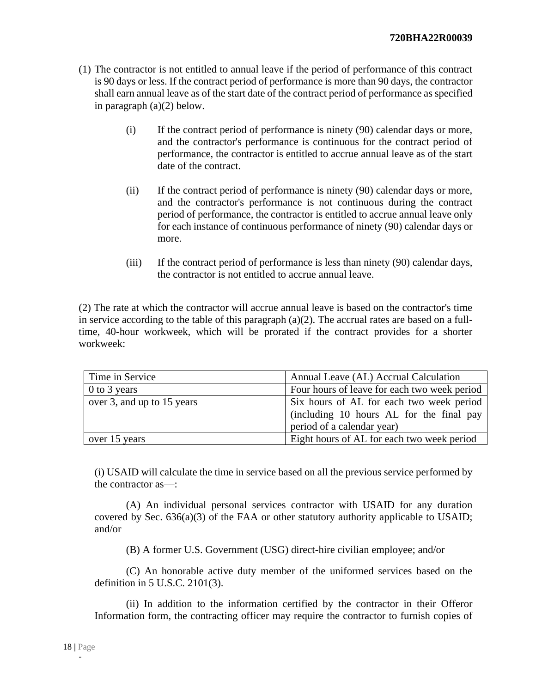- (1) The contractor is not entitled to annual leave if the period of performance of this contract is 90 days or less. If the contract period of performance is more than 90 days, the contractor shall earn annual leave as of the start date of the contract period of performance as specified in paragraph (a)(2) below.
	- (i) If the contract period of performance is ninety (90) calendar days or more, and the contractor's performance is continuous for the contract period of performance, the contractor is entitled to accrue annual leave as of the start date of the contract.
	- (ii) If the contract period of performance is ninety (90) calendar days or more, and the contractor's performance is not continuous during the contract period of performance, the contractor is entitled to accrue annual leave only for each instance of continuous performance of ninety (90) calendar days or more.
	- (iii) If the contract period of performance is less than ninety (90) calendar days, the contractor is not entitled to accrue annual leave.

(2) The rate at which the contractor will accrue annual leave is based on the contractor's time in service according to the table of this paragraph (a)(2). The accrual rates are based on a fulltime, 40-hour workweek, which will be prorated if the contract provides for a shorter workweek:

| Time in Service            | Annual Leave (AL) Accrual Calculation        |  |  |
|----------------------------|----------------------------------------------|--|--|
| 0 to 3 years               | Four hours of leave for each two week period |  |  |
| over 3, and up to 15 years | Six hours of AL for each two week period     |  |  |
|                            | (including 10 hours AL for the final pay     |  |  |
|                            | period of a calendar year)                   |  |  |
| over 15 years              | Eight hours of AL for each two week period   |  |  |

(i) USAID will calculate the time in service based on all the previous service performed by the contractor as—:

(A) An individual personal services contractor with USAID for any duration covered by Sec. 636(a)(3) of the FAA or other statutory authority applicable to USAID; and/or

(B) A former U.S. Government (USG) direct-hire civilian employee; and/or

(C) An honorable active duty member of the uniformed services based on the definition in 5 U.S.C. 2101(3).

(ii) In addition to the information certified by the contractor in their Offeror Information form, the contracting officer may require the contractor to furnish copies of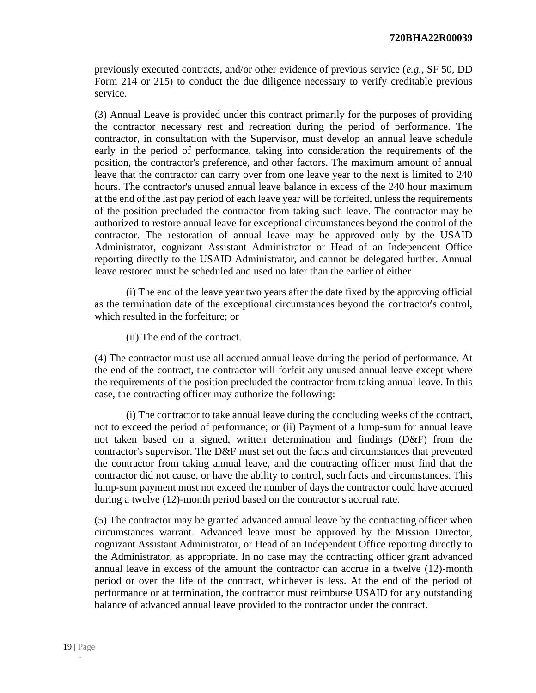previously executed contracts, and/or other evidence of previous service (*e.g.,* SF 50, DD Form 214 or 215) to conduct the due diligence necessary to verify creditable previous service.

(3) Annual Leave is provided under this contract primarily for the purposes of providing the contractor necessary rest and recreation during the period of performance. The contractor, in consultation with the Supervisor, must develop an annual leave schedule early in the period of performance, taking into consideration the requirements of the position, the contractor's preference, and other factors. The maximum amount of annual leave that the contractor can carry over from one leave year to the next is limited to 240 hours. The contractor's unused annual leave balance in excess of the 240 hour maximum at the end of the last pay period of each leave year will be forfeited, unless the requirements of the position precluded the contractor from taking such leave. The contractor may be authorized to restore annual leave for exceptional circumstances beyond the control of the contractor. The restoration of annual leave may be approved only by the USAID Administrator, cognizant Assistant Administrator or Head of an Independent Office reporting directly to the USAID Administrator, and cannot be delegated further. Annual leave restored must be scheduled and used no later than the earlier of either—

(i) The end of the leave year two years after the date fixed by the approving official as the termination date of the exceptional circumstances beyond the contractor's control, which resulted in the forfeiture; or

(ii) The end of the contract.

(4) The contractor must use all accrued annual leave during the period of performance. At the end of the contract, the contractor will forfeit any unused annual leave except where the requirements of the position precluded the contractor from taking annual leave. In this case, the contracting officer may authorize the following:

(i) The contractor to take annual leave during the concluding weeks of the contract, not to exceed the period of performance; or (ii) Payment of a lump-sum for annual leave not taken based on a signed, written determination and findings (D&F) from the contractor's supervisor. The D&F must set out the facts and circumstances that prevented the contractor from taking annual leave, and the contracting officer must find that the contractor did not cause, or have the ability to control, such facts and circumstances. This lump-sum payment must not exceed the number of days the contractor could have accrued during a twelve (12)-month period based on the contractor's accrual rate.

(5) The contractor may be granted advanced annual leave by the contracting officer when circumstances warrant. Advanced leave must be approved by the Mission Director, cognizant Assistant Administrator, or Head of an Independent Office reporting directly to the Administrator, as appropriate. In no case may the contracting officer grant advanced annual leave in excess of the amount the contractor can accrue in a twelve (12)-month period or over the life of the contract, whichever is less. At the end of the period of performance or at termination, the contractor must reimburse USAID for any outstanding balance of advanced annual leave provided to the contractor under the contract.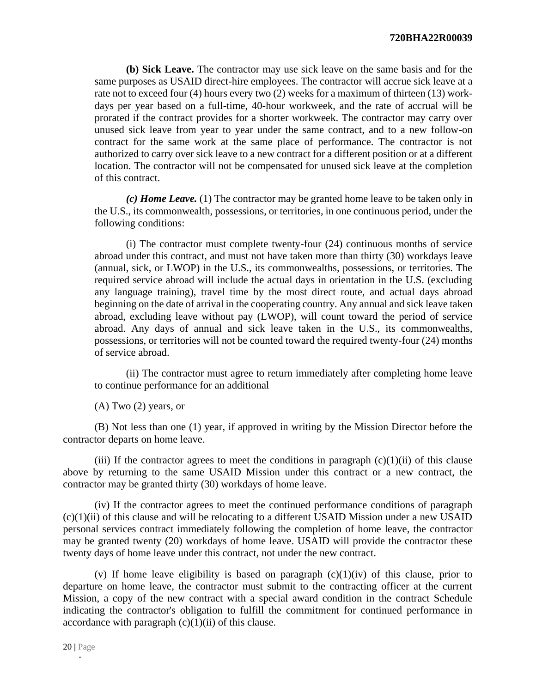**(b) Sick Leave.** The contractor may use sick leave on the same basis and for the same purposes as USAID direct-hire employees. The contractor will accrue sick leave at a rate not to exceed four (4) hours every two (2) weeks for a maximum of thirteen (13) workdays per year based on a full-time, 40-hour workweek, and the rate of accrual will be prorated if the contract provides for a shorter workweek. The contractor may carry over unused sick leave from year to year under the same contract, and to a new follow-on contract for the same work at the same place of performance. The contractor is not authorized to carry over sick leave to a new contract for a different position or at a different location. The contractor will not be compensated for unused sick leave at the completion of this contract.

*(c) Home Leave.* (1) The contractor may be granted home leave to be taken only in the U.S., its commonwealth, possessions, or territories, in one continuous period, under the following conditions:

(i) The contractor must complete twenty-four (24) continuous months of service abroad under this contract, and must not have taken more than thirty (30) workdays leave (annual, sick, or LWOP) in the U.S., its commonwealths, possessions, or territories. The required service abroad will include the actual days in orientation in the U.S. (excluding any language training), travel time by the most direct route, and actual days abroad beginning on the date of arrival in the cooperating country. Any annual and sick leave taken abroad, excluding leave without pay (LWOP), will count toward the period of service abroad. Any days of annual and sick leave taken in the U.S., its commonwealths, possessions, or territories will not be counted toward the required twenty-four (24) months of service abroad.

(ii) The contractor must agree to return immediately after completing home leave to continue performance for an additional—

 $(A)$  Two  $(2)$  years, or

(B) Not less than one (1) year, if approved in writing by the Mission Director before the contractor departs on home leave.

(iii) If the contractor agrees to meet the conditions in paragraph  $(c)(1)(ii)$  of this clause above by returning to the same USAID Mission under this contract or a new contract, the contractor may be granted thirty (30) workdays of home leave.

(iv) If the contractor agrees to meet the continued performance conditions of paragraph (c)(1)(ii) of this clause and will be relocating to a different USAID Mission under a new USAID personal services contract immediately following the completion of home leave, the contractor may be granted twenty (20) workdays of home leave. USAID will provide the contractor these twenty days of home leave under this contract, not under the new contract.

(v) If home leave eligibility is based on paragraph  $(c)(1)(iv)$  of this clause, prior to departure on home leave, the contractor must submit to the contracting officer at the current Mission, a copy of the new contract with a special award condition in the contract Schedule indicating the contractor's obligation to fulfill the commitment for continued performance in accordance with paragraph  $(c)(1)(ii)$  of this clause.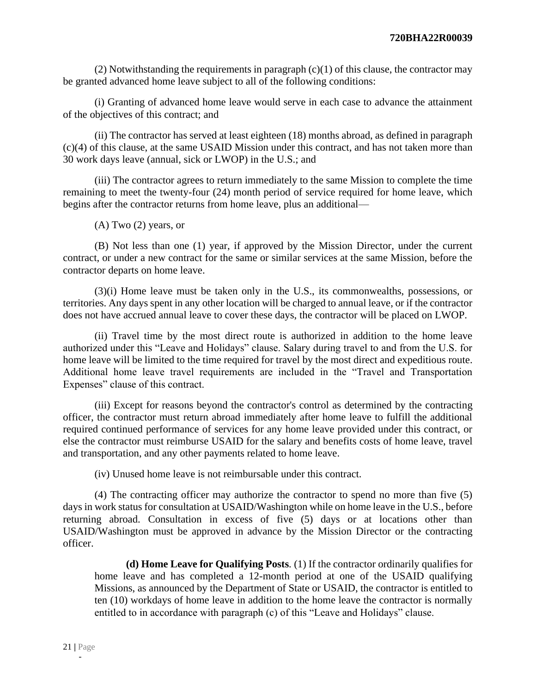(2) Notwithstanding the requirements in paragraph  $(c)(1)$  of this clause, the contractor may be granted advanced home leave subject to all of the following conditions:

(i) Granting of advanced home leave would serve in each case to advance the attainment of the objectives of this contract; and

(ii) The contractor has served at least eighteen (18) months abroad, as defined in paragraph (c)(4) of this clause, at the same USAID Mission under this contract, and has not taken more than 30 work days leave (annual, sick or LWOP) in the U.S.; and

(iii) The contractor agrees to return immediately to the same Mission to complete the time remaining to meet the twenty-four (24) month period of service required for home leave, which begins after the contractor returns from home leave, plus an additional—

 $(A)$  Two  $(2)$  years, or

(B) Not less than one (1) year, if approved by the Mission Director, under the current contract, or under a new contract for the same or similar services at the same Mission, before the contractor departs on home leave.

(3)(i) Home leave must be taken only in the U.S., its commonwealths, possessions, or territories. Any days spent in any other location will be charged to annual leave, or if the contractor does not have accrued annual leave to cover these days, the contractor will be placed on LWOP.

(ii) Travel time by the most direct route is authorized in addition to the home leave authorized under this "Leave and Holidays" clause. Salary during travel to and from the U.S. for home leave will be limited to the time required for travel by the most direct and expeditious route. Additional home leave travel requirements are included in the "Travel and Transportation Expenses" clause of this contract.

(iii) Except for reasons beyond the contractor's control as determined by the contracting officer, the contractor must return abroad immediately after home leave to fulfill the additional required continued performance of services for any home leave provided under this contract, or else the contractor must reimburse USAID for the salary and benefits costs of home leave, travel and transportation, and any other payments related to home leave.

(iv) Unused home leave is not reimbursable under this contract.

(4) The contracting officer may authorize the contractor to spend no more than five (5) days in work status for consultation at USAID/Washington while on home leave in the U.S., before returning abroad. Consultation in excess of five (5) days or at locations other than USAID/Washington must be approved in advance by the Mission Director or the contracting officer.

**(d) Home Leave for Qualifying Posts***.* (1) If the contractor ordinarily qualifies for home leave and has completed a 12-month period at one of the USAID qualifying Missions, as announced by the Department of State or USAID, the contractor is entitled to ten (10) workdays of home leave in addition to the home leave the contractor is normally entitled to in accordance with paragraph (c) of this "Leave and Holidays" clause.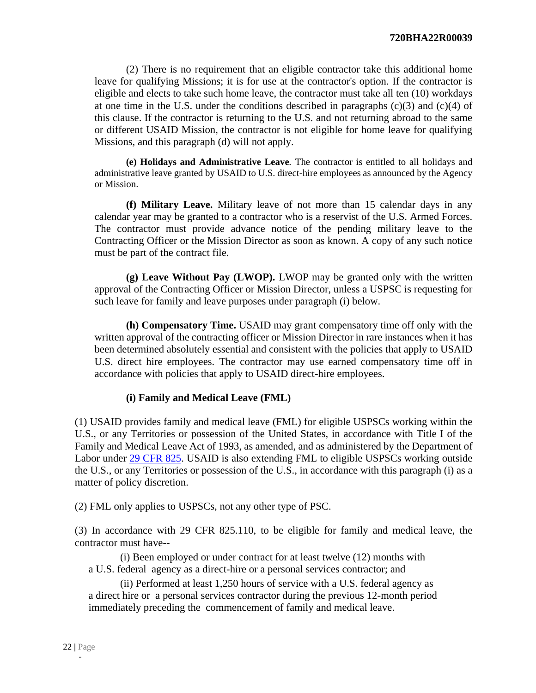(2) There is no requirement that an eligible contractor take this additional home leave for qualifying Missions; it is for use at the contractor's option. If the contractor is eligible and elects to take such home leave, the contractor must take all ten (10) workdays at one time in the U.S. under the conditions described in paragraphs  $(c)(3)$  and  $(c)(4)$  of this clause. If the contractor is returning to the U.S. and not returning abroad to the same or different USAID Mission, the contractor is not eligible for home leave for qualifying Missions, and this paragraph (d) will not apply.

**(e) Holidays and Administrative Leave***.* The contractor is entitled to all holidays and administrative leave granted by USAID to U.S. direct-hire employees as announced by the Agency or Mission.

**(f) Military Leave.** Military leave of not more than 15 calendar days in any calendar year may be granted to a contractor who is a reservist of the U.S. Armed Forces. The contractor must provide advance notice of the pending military leave to the Contracting Officer or the Mission Director as soon as known. A copy of any such notice must be part of the contract file.

**(g) Leave Without Pay (LWOP).** LWOP may be granted only with the written approval of the Contracting Officer or Mission Director, unless a USPSC is requesting for such leave for family and leave purposes under paragraph (i) below.

**(h) Compensatory Time.** USAID may grant compensatory time off only with the written approval of the contracting officer or Mission Director in rare instances when it has been determined absolutely essential and consistent with the policies that apply to USAID U.S. direct hire employees. The contractor may use earned compensatory time off in accordance with policies that apply to USAID direct-hire employees.

#### **(i) Family and Medical Leave (FML)**

(1) USAID provides family and medical leave (FML) for eligible USPSCs working within the U.S., or any Territories or possession of the United States, in accordance with Title I of the Family and Medical Leave Act of 1993, as amended, and as administered by the Department of Labor under [29 CFR 825.](https://www.ecfr.gov/cgi-bin/text-idx?SID=db0243f608afdb03943b0635a819c860&mc=true&tpl=/ecfrbrowse/Title29/29cfr825_main_02.tpl) USAID is also extending FML to eligible USPSCs working outside the U.S., or any Territories or possession of the U.S., in accordance with this paragraph (i) as a matter of policy discretion.

(2) FML only applies to USPSCs, not any other type of PSC.

(3) In accordance with 29 CFR 825.110, to be eligible for family and medical leave, the contractor must have--

(i) Been employed or under contract for at least twelve (12) months with a U.S. federal agency as a direct-hire or a personal services contractor; and

(ii) Performed at least 1,250 hours of service with a U.S. federal agency as a direct hire or a personal services contractor during the previous 12-month period immediately preceding the commencement of family and medical leave.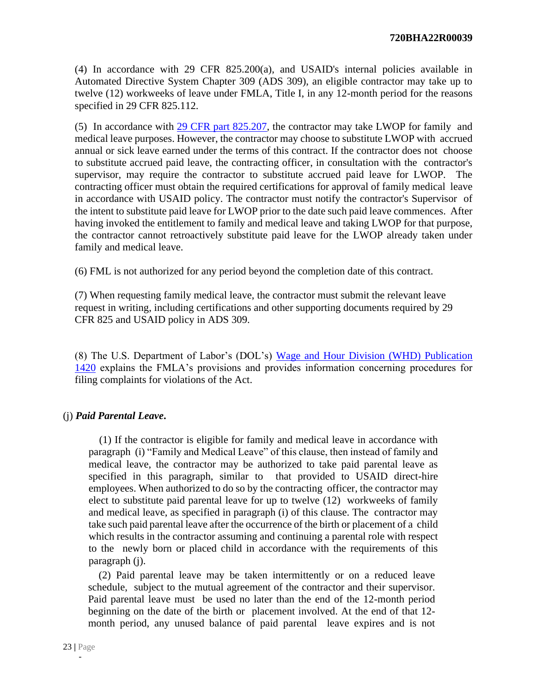(4) In accordance with 29 CFR 825.200(a), and USAID's internal policies available in Automated Directive System Chapter 309 (ADS 309), an eligible contractor may take up to twelve (12) workweeks of leave under FMLA, Title I, in any 12-month period for the reasons specified in 29 CFR 825.112.

(5) In accordance with 29 CFR part 825.207, the contractor may take LWOP for family and medical leave purposes. However, the contractor may choose to substitute LWOP with accrued annual or sick leave earned under the terms of this contract. If the contractor does not choose to substitute accrued paid leave, the contracting officer, in consultation with the contractor's supervisor, may require the contractor to substitute accrued paid leave for LWOP. The contracting officer must obtain the required certifications for approval of family medical leave in accordance with USAID policy. The contractor must notify the contractor's Supervisor of the intent to substitute paid leave for LWOP prior to the date such paid leave commences. After having invoked the entitlement to family and medical leave and taking LWOP for that purpose, the contractor cannot retroactively substitute paid leave for the LWOP already taken under family and medical leave.

(6) FML is not authorized for any period beyond the completion date of this contract.

(7) When requesting family medical leave, the contractor must submit the relevant leave request in writing, including certifications and other supporting documents required by 29 CFR 825 and USAID policy in ADS 309.

(8) The U.S. Department of Labor's (DOL's) [Wage and Hour Division \(WHD\) Publication](https://www.dol.gov/whd/regs/compliance/posters/fmlaen.pdf)  [1420](https://www.dol.gov/whd/regs/compliance/posters/fmlaen.pdf) explains the FMLA's provisions and provides information concerning procedures for filing complaints for violations of the Act.

#### (j) *Paid Parental Leave***.**

 (1) If the contractor is eligible for family and medical leave in accordance with paragraph (i) "Family and Medical Leave" of this clause, then instead of family and medical leave, the contractor may be authorized to take paid parental leave as specified in this paragraph, similar to that provided to USAID direct-hire employees. When authorized to do so by the contracting officer, the contractor may elect to substitute paid parental leave for up to twelve (12) workweeks of family and medical leave, as specified in paragraph (i) of this clause. The contractor may take such paid parental leave after the occurrence of the birth or placement of a child which results in the contractor assuming and continuing a parental role with respect to the newly born or placed child in accordance with the requirements of this paragraph (j).

 (2) Paid parental leave may be taken intermittently or on a reduced leave schedule, subject to the mutual agreement of the contractor and their supervisor. Paid parental leave must be used no later than the end of the 12-month period beginning on the date of the birth or placement involved. At the end of that 12 month period, any unused balance of paid parental leave expires and is not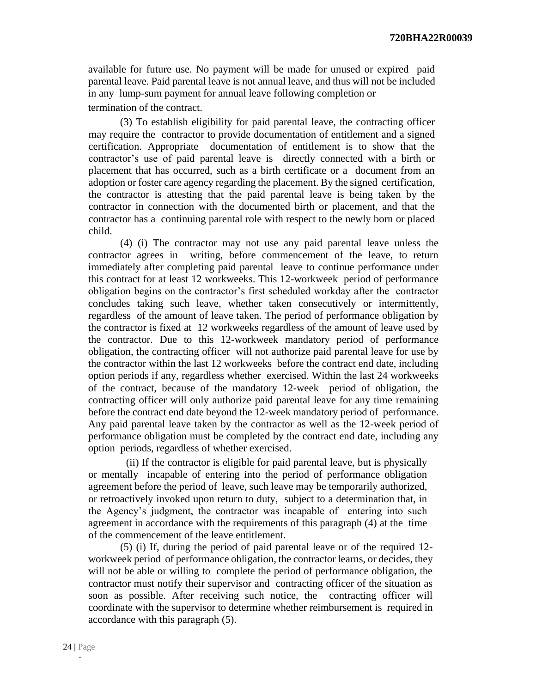**720BHA22R00039**

available for future use. No payment will be made for unused or expired paid parental leave. Paid parental leave is not annual leave, and thus will not be included in any lump-sum payment for annual leave following completion or termination of the contract.

(3) To establish eligibility for paid parental leave, the contracting officer may require the contractor to provide documentation of entitlement and a signed certification. Appropriate documentation of entitlement is to show that the contractor's use of paid parental leave is directly connected with a birth or placement that has occurred, such as a birth certificate or a document from an adoption or foster care agency regarding the placement. By the signed certification, the contractor is attesting that the paid parental leave is being taken by the contractor in connection with the documented birth or placement, and that the contractor has a continuing parental role with respect to the newly born or placed child.

(4) (i) The contractor may not use any paid parental leave unless the contractor agrees in writing, before commencement of the leave, to return immediately after completing paid parental leave to continue performance under this contract for at least 12 workweeks. This 12-workweek period of performance obligation begins on the contractor's first scheduled workday after the contractor concludes taking such leave, whether taken consecutively or intermittently, regardless of the amount of leave taken. The period of performance obligation by the contractor is fixed at 12 workweeks regardless of the amount of leave used by the contractor. Due to this 12-workweek mandatory period of performance obligation, the contracting officer will not authorize paid parental leave for use by the contractor within the last 12 workweeks before the contract end date, including option periods if any, regardless whether exercised. Within the last 24 workweeks of the contract, because of the mandatory 12-week period of obligation, the contracting officer will only authorize paid parental leave for any time remaining before the contract end date beyond the 12-week mandatory period of performance. Any paid parental leave taken by the contractor as well as the 12-week period of performance obligation must be completed by the contract end date, including any option periods, regardless of whether exercised.

(ii) If the contractor is eligible for paid parental leave, but is physically or mentally incapable of entering into the period of performance obligation agreement before the period of leave, such leave may be temporarily authorized, or retroactively invoked upon return to duty, subject to a determination that, in the Agency's judgment, the contractor was incapable of entering into such agreement in accordance with the requirements of this paragraph (4) at the time of the commencement of the leave entitlement.

(5) (i) If, during the period of paid parental leave or of the required 12 workweek period of performance obligation, the contractor learns, or decides, they will not be able or willing to complete the period of performance obligation, the contractor must notify their supervisor and contracting officer of the situation as soon as possible. After receiving such notice, the contracting officer will coordinate with the supervisor to determine whether reimbursement is required in accordance with this paragraph (5).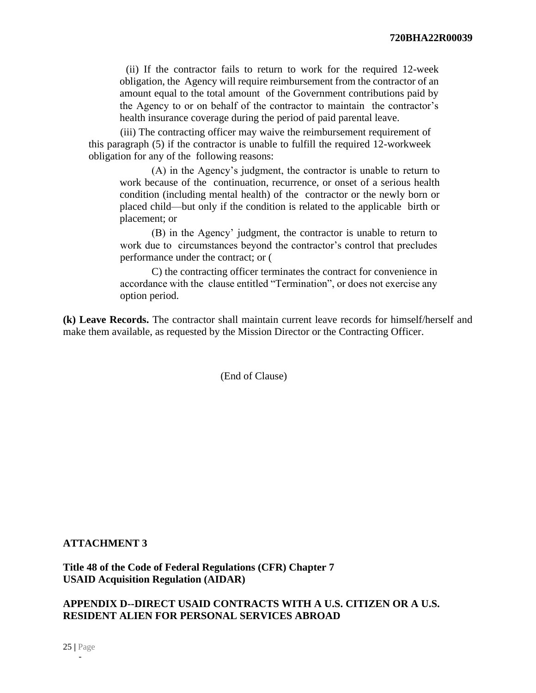(ii) If the contractor fails to return to work for the required 12-week obligation, the Agency will require reimbursement from the contractor of an amount equal to the total amount of the Government contributions paid by the Agency to or on behalf of the contractor to maintain the contractor's health insurance coverage during the period of paid parental leave.

(iii) The contracting officer may waive the reimbursement requirement of this paragraph (5) if the contractor is unable to fulfill the required 12-workweek obligation for any of the following reasons:

(A) in the Agency's judgment, the contractor is unable to return to work because of the continuation, recurrence, or onset of a serious health condition (including mental health) of the contractor or the newly born or placed child—but only if the condition is related to the applicable birth or placement; or

(B) in the Agency' judgment, the contractor is unable to return to work due to circumstances beyond the contractor's control that precludes performance under the contract; or (

C) the contracting officer terminates the contract for convenience in accordance with the clause entitled "Termination", or does not exercise any option period.

**(k) Leave Records.** The contractor shall maintain current leave records for himself/herself and make them available, as requested by the Mission Director or the Contracting Officer.

(End of Clause)

#### **ATTACHMENT 3**

**Title 48 of the Code of Federal Regulations (CFR) Chapter 7 USAID Acquisition Regulation (AIDAR)**

**APPENDIX D--DIRECT USAID CONTRACTS WITH A U.S. CITIZEN OR A U.S. RESIDENT ALIEN FOR PERSONAL SERVICES ABROAD**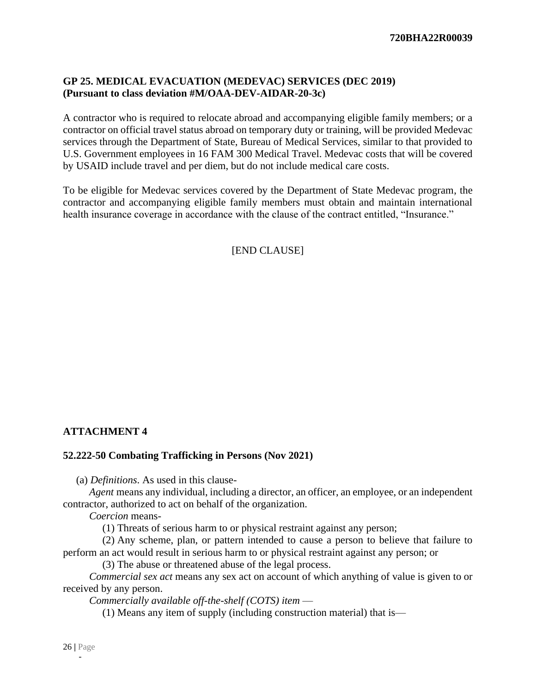### **GP 25. MEDICAL EVACUATION (MEDEVAC) SERVICES (DEC 2019) (Pursuant to class deviation #M/OAA-DEV-AIDAR-20-3c)**

A contractor who is required to relocate abroad and accompanying eligible family members; or a contractor on official travel status abroad on temporary duty or training, will be provided Medevac services through the Department of State, Bureau of Medical Services, similar to that provided to U.S. Government employees in 16 FAM 300 Medical Travel. Medevac costs that will be covered by USAID include travel and per diem, but do not include medical care costs.

To be eligible for Medevac services covered by the Department of State Medevac program, the contractor and accompanying eligible family members must obtain and maintain international health insurance coverage in accordance with the clause of the contract entitled, "Insurance."

[END CLAUSE]

## **ATTACHMENT 4**

#### **52.222-50 Combating Trafficking in Persons (Nov 2021)**

(a) *Definitions*. As used in this clause-

 *Agent* means any individual, including a director, an officer, an employee, or an independent contractor, authorized to act on behalf of the organization.

*Coercion* means-

(1) Threats of serious harm to or physical restraint against any person;

 (2) Any scheme, plan, or pattern intended to cause a person to believe that failure to perform an act would result in serious harm to or physical restraint against any person; or

(3) The abuse or threatened abuse of the legal process.

 *Commercial sex act* means any sex act on account of which anything of value is given to or received by any person.

*Commercially available off-the-shelf (COTS) item* —

(1) Means any item of supply (including construction material) that is—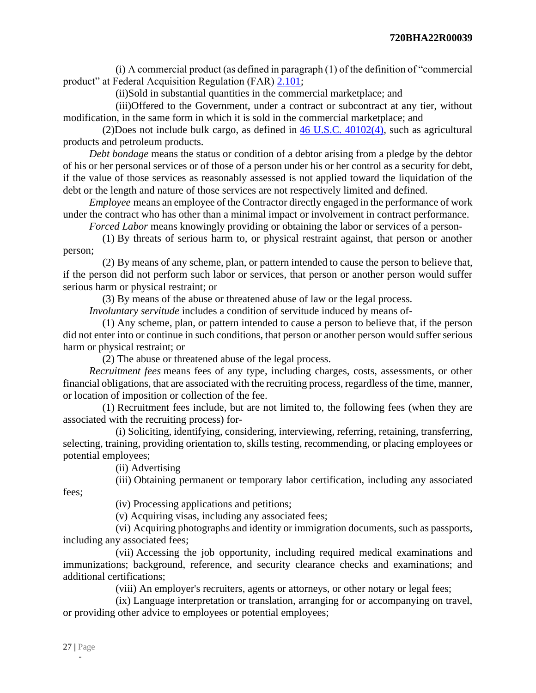(i) A commercial product (as defined in paragraph (1) of the definition of "commercial product" at Federal Acquisition Regulation (FAR) [2.101;](https://www.acquisition.gov/far/2.101#FAR_2_101)

(ii)Sold in substantial quantities in the commercial marketplace; and

 (iii)Offered to the Government, under a contract or subcontract at any tier, without modification, in the same form in which it is sold in the commercial marketplace; and

 (2)Does not include bulk cargo, as defined in [46 U.S.C. 40102\(4\),](http://uscode.house.gov/browse.xhtml;jsessionid=114A3287C7B3359E597506A31FC855B3) such as agricultural products and petroleum products.

 *Debt bondage* means the status or condition of a debtor arising from a pledge by the debtor of his or her personal services or of those of a person under his or her control as a security for debt, if the value of those services as reasonably assessed is not applied toward the liquidation of the debt or the length and nature of those services are not respectively limited and defined.

 *Employee* means an employee of the Contractor directly engaged in the performance of work under the contract who has other than a minimal impact or involvement in contract performance.

*Forced Labor* means knowingly providing or obtaining the labor or services of a person-

 (1) By threats of serious harm to, or physical restraint against, that person or another person;

 (2) By means of any scheme, plan, or pattern intended to cause the person to believe that, if the person did not perform such labor or services, that person or another person would suffer serious harm or physical restraint; or

(3) By means of the abuse or threatened abuse of law or the legal process.

*Involuntary servitude* includes a condition of servitude induced by means of-

 (1) Any scheme, plan, or pattern intended to cause a person to believe that, if the person did not enter into or continue in such conditions, that person or another person would suffer serious harm or physical restraint; or

(2) The abuse or threatened abuse of the legal process.

 *Recruitment fees* means fees of any type, including charges, costs, assessments, or other financial obligations, that are associated with the recruiting process, regardless of the time, manner, or location of imposition or collection of the fee.

 (1) Recruitment fees include, but are not limited to, the following fees (when they are associated with the recruiting process) for-

 (i) Soliciting, identifying, considering, interviewing, referring, retaining, transferring, selecting, training, providing orientation to, skills testing, recommending, or placing employees or potential employees;

(ii) Advertising

(iii) Obtaining permanent or temporary labor certification, including any associated

fees;

(iv) Processing applications and petitions;

(v) Acquiring visas, including any associated fees;

 (vi) Acquiring photographs and identity or immigration documents, such as passports, including any associated fees;

 (vii) Accessing the job opportunity, including required medical examinations and immunizations; background, reference, and security clearance checks and examinations; and additional certifications;

(viii) An employer's recruiters, agents or attorneys, or other notary or legal fees;

 (ix) Language interpretation or translation, arranging for or accompanying on travel, or providing other advice to employees or potential employees;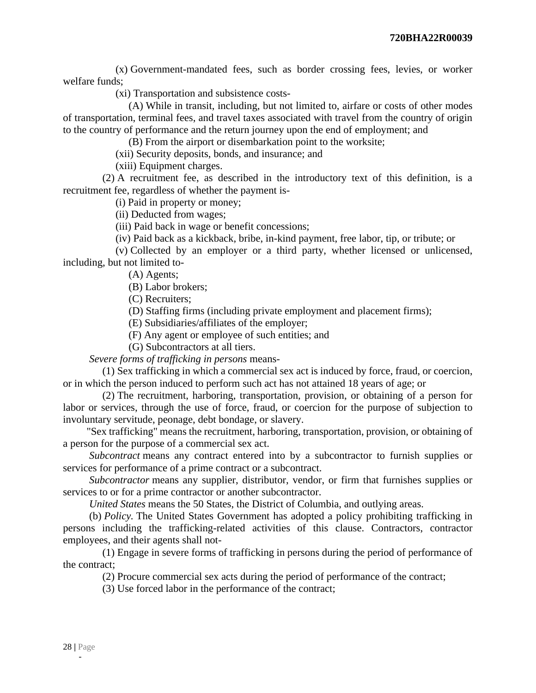(x) Government-mandated fees, such as border crossing fees, levies, or worker welfare funds;

(xi) Transportation and subsistence costs-

 (A) While in transit, including, but not limited to, airfare or costs of other modes of transportation, terminal fees, and travel taxes associated with travel from the country of origin to the country of performance and the return journey upon the end of employment; and

(B) From the airport or disembarkation point to the worksite;

(xii) Security deposits, bonds, and insurance; and

(xiii) Equipment charges.

 (2) A recruitment fee, as described in the introductory text of this definition, is a recruitment fee, regardless of whether the payment is-

(i) Paid in property or money;

(ii) Deducted from wages;

(iii) Paid back in wage or benefit concessions;

(iv) Paid back as a kickback, bribe, in-kind payment, free labor, tip, or tribute; or

 (v) Collected by an employer or a third party, whether licensed or unlicensed, including, but not limited to-

(A) Agents;

(B) Labor brokers;

(C) Recruiters;

(D) Staffing firms (including private employment and placement firms);

(E) Subsidiaries/affiliates of the employer;

(F) Any agent or employee of such entities; and

(G) Subcontractors at all tiers.

*Severe forms of trafficking in persons* means-

 (1) Sex trafficking in which a commercial sex act is induced by force, fraud, or coercion, or in which the person induced to perform such act has not attained 18 years of age; or

 (2) The recruitment, harboring, transportation, provision, or obtaining of a person for labor or services, through the use of force, fraud, or coercion for the purpose of subjection to involuntary servitude, peonage, debt bondage, or slavery.

 "Sex trafficking" means the recruitment, harboring, transportation, provision, or obtaining of a person for the purpose of a commercial sex act.

 *Subcontract* means any contract entered into by a subcontractor to furnish supplies or services for performance of a prime contract or a subcontract.

 *Subcontractor* means any supplier, distributor, vendor, or firm that furnishes supplies or services to or for a prime contractor or another subcontractor.

*United States* means the 50 States, the District of Columbia, and outlying areas.

 (b) *Policy.* The United States Government has adopted a policy prohibiting trafficking in persons including the trafficking-related activities of this clause. Contractors, contractor employees, and their agents shall not-

 (1) Engage in severe forms of trafficking in persons during the period of performance of the contract;

(2) Procure commercial sex acts during the period of performance of the contract;

(3) Use forced labor in the performance of the contract;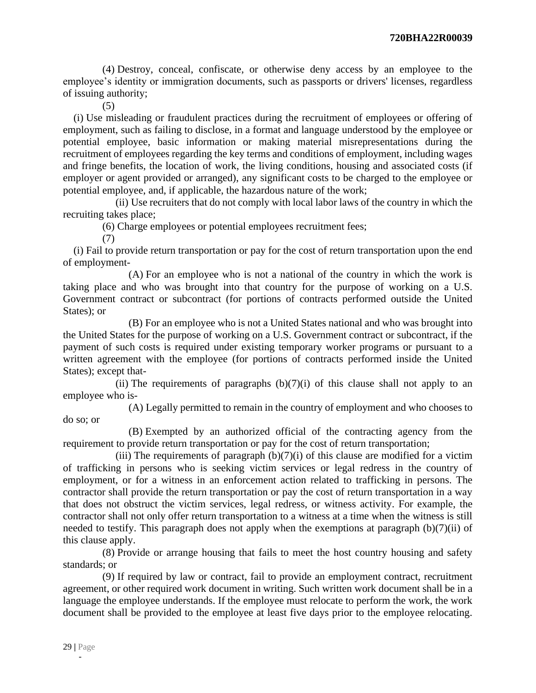(4) Destroy, conceal, confiscate, or otherwise deny access by an employee to the employee's identity or immigration documents, such as passports or drivers' licenses, regardless of issuing authority;

(5)

(i) Use misleading or fraudulent practices during the recruitment of employees or offering of employment, such as failing to disclose, in a format and language understood by the employee or potential employee, basic information or making material misrepresentations during the recruitment of employees regarding the key terms and conditions of employment, including wages and fringe benefits, the location of work, the living conditions, housing and associated costs (if employer or agent provided or arranged), any significant costs to be charged to the employee or potential employee, and, if applicable, the hazardous nature of the work;

 (ii) Use recruiters that do not comply with local labor laws of the country in which the recruiting takes place;

(6) Charge employees or potential employees recruitment fees;

(7)

(i) Fail to provide return transportation or pay for the cost of return transportation upon the end of employment-

 (A) For an employee who is not a national of the country in which the work is taking place and who was brought into that country for the purpose of working on a U.S. Government contract or subcontract (for portions of contracts performed outside the United States); or

 (B) For an employee who is not a United States national and who was brought into the United States for the purpose of working on a U.S. Government contract or subcontract, if the payment of such costs is required under existing temporary worker programs or pursuant to a written agreement with the employee (for portions of contracts performed inside the United States); except that-

(ii) The requirements of paragraphs  $(b)(7)(i)$  of this clause shall not apply to an employee who is-

 (A) Legally permitted to remain in the country of employment and who chooses to do so; or

 (B) Exempted by an authorized official of the contracting agency from the requirement to provide return transportation or pay for the cost of return transportation;

(iii) The requirements of paragraph  $(b)(7)(i)$  of this clause are modified for a victim of trafficking in persons who is seeking victim services or legal redress in the country of employment, or for a witness in an enforcement action related to trafficking in persons. The contractor shall provide the return transportation or pay the cost of return transportation in a way that does not obstruct the victim services, legal redress, or witness activity. For example, the contractor shall not only offer return transportation to a witness at a time when the witness is still needed to testify. This paragraph does not apply when the exemptions at paragraph (b)(7)(ii) of this clause apply.

 (8) Provide or arrange housing that fails to meet the host country housing and safety standards; or

 (9) If required by law or contract, fail to provide an employment contract, recruitment agreement, or other required work document in writing. Such written work document shall be in a language the employee understands. If the employee must relocate to perform the work, the work document shall be provided to the employee at least five days prior to the employee relocating.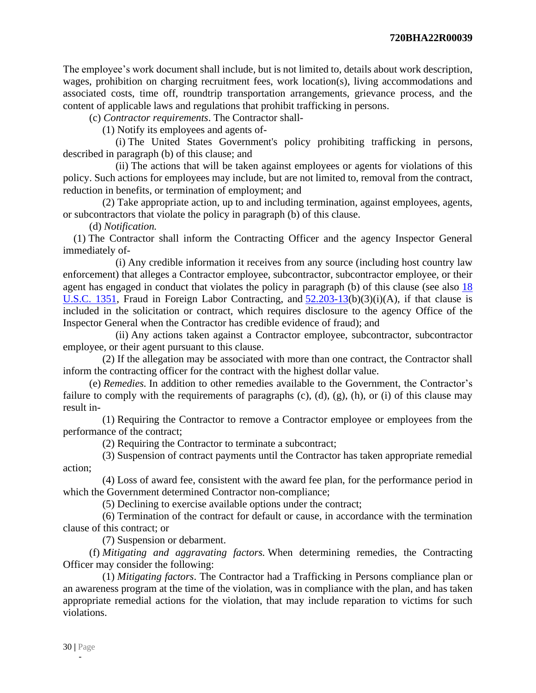The employee's work document shall include, but is not limited to, details about work description, wages, prohibition on charging recruitment fees, work location(s), living accommodations and associated costs, time off, roundtrip transportation arrangements, grievance process, and the content of applicable laws and regulations that prohibit trafficking in persons.

(c) *Contractor requirements*. The Contractor shall-

(1) Notify its employees and agents of-

 (i) The United States Government's policy prohibiting trafficking in persons, described in paragraph (b) of this clause; and

 (ii) The actions that will be taken against employees or agents for violations of this policy. Such actions for employees may include, but are not limited to, removal from the contract, reduction in benefits, or termination of employment; and

 (2) Take appropriate action, up to and including termination, against employees, agents, or subcontractors that violate the policy in paragraph (b) of this clause.

(d) *Notification.*

(1) The Contractor shall inform the Contracting Officer and the agency Inspector General immediately of-

 (i) Any credible information it receives from any source (including host country law enforcement) that alleges a Contractor employee, subcontractor, subcontractor employee, or their agent has engaged in conduct that violates the policy in paragraph (b) of this clause (see also [18](http://uscode.house.gov/browse.xhtml;jsessionid=114A3287C7B3359E597506A31FC855B3)  [U.S.C. 1351,](http://uscode.house.gov/browse.xhtml;jsessionid=114A3287C7B3359E597506A31FC855B3) Fraud in Foreign Labor Contracting, and  $52.203-13(b)(3)(i)(A)$  $52.203-13(b)(3)(i)(A)$ , if that clause is included in the solicitation or contract, which requires disclosure to the agency Office of the Inspector General when the Contractor has credible evidence of fraud); and

 (ii) Any actions taken against a Contractor employee, subcontractor, subcontractor employee, or their agent pursuant to this clause.

 (2) If the allegation may be associated with more than one contract, the Contractor shall inform the contracting officer for the contract with the highest dollar value.

 (e) *Remedies.* In addition to other remedies available to the Government, the Contractor's failure to comply with the requirements of paragraphs  $(c)$ ,  $(d)$ ,  $(g)$ ,  $(h)$ , or  $(i)$  of this clause may result in-

 (1) Requiring the Contractor to remove a Contractor employee or employees from the performance of the contract;

(2) Requiring the Contractor to terminate a subcontract;

 (3) Suspension of contract payments until the Contractor has taken appropriate remedial action;

 (4) Loss of award fee, consistent with the award fee plan, for the performance period in which the Government determined Contractor non-compliance;

(5) Declining to exercise available options under the contract;

 (6) Termination of the contract for default or cause, in accordance with the termination clause of this contract; or

(7) Suspension or debarment.

 (f) *Mitigating and aggravating factors.* When determining remedies, the Contracting Officer may consider the following:

 (1) *Mitigating factors*. The Contractor had a Trafficking in Persons compliance plan or an awareness program at the time of the violation, was in compliance with the plan, and has taken appropriate remedial actions for the violation, that may include reparation to victims for such violations.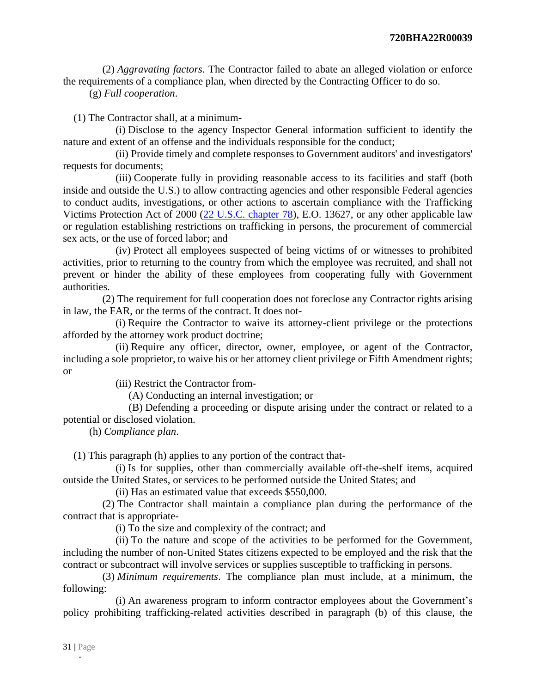(2) *Aggravating factors*. The Contractor failed to abate an alleged violation or enforce the requirements of a compliance plan, when directed by the Contracting Officer to do so.

(g) *Full cooperation*.

(1) The Contractor shall, at a minimum-

 (i) Disclose to the agency Inspector General information sufficient to identify the nature and extent of an offense and the individuals responsible for the conduct;

 (ii) Provide timely and complete responses to Government auditors' and investigators' requests for documents;

 (iii) Cooperate fully in providing reasonable access to its facilities and staff (both inside and outside the U.S.) to allow contracting agencies and other responsible Federal agencies to conduct audits, investigations, or other actions to ascertain compliance with the Trafficking Victims Protection Act of 2000 [\(22 U.S.C. chapter 78\)](http://uscode.house.gov/browse.xhtml;jsessionid=114A3287C7B3359E597506A31FC855B3), E.O. 13627, or any other applicable law or regulation establishing restrictions on trafficking in persons, the procurement of commercial sex acts, or the use of forced labor; and

 (iv) Protect all employees suspected of being victims of or witnesses to prohibited activities, prior to returning to the country from which the employee was recruited, and shall not prevent or hinder the ability of these employees from cooperating fully with Government authorities.

 (2) The requirement for full cooperation does not foreclose any Contractor rights arising in law, the FAR, or the terms of the contract. It does not-

 (i) Require the Contractor to waive its attorney-client privilege or the protections afforded by the attorney work product doctrine;

 (ii) Require any officer, director, owner, employee, or agent of the Contractor, including a sole proprietor, to waive his or her attorney client privilege or Fifth Amendment rights; or

(iii) Restrict the Contractor from-

(A) Conducting an internal investigation; or

 (B) Defending a proceeding or dispute arising under the contract or related to a potential or disclosed violation.

(h) *Compliance plan*.

(1) This paragraph (h) applies to any portion of the contract that-

 (i) Is for supplies, other than commercially available off-the-shelf items, acquired outside the United States, or services to be performed outside the United States; and

(ii) Has an estimated value that exceeds \$550,000.

 (2) The Contractor shall maintain a compliance plan during the performance of the contract that is appropriate-

(i) To the size and complexity of the contract; and

 (ii) To the nature and scope of the activities to be performed for the Government, including the number of non-United States citizens expected to be employed and the risk that the contract or subcontract will involve services or supplies susceptible to trafficking in persons.

 (3) *Minimum requirements*. The compliance plan must include, at a minimum, the following:

 (i) An awareness program to inform contractor employees about the Government's policy prohibiting trafficking-related activities described in paragraph (b) of this clause, the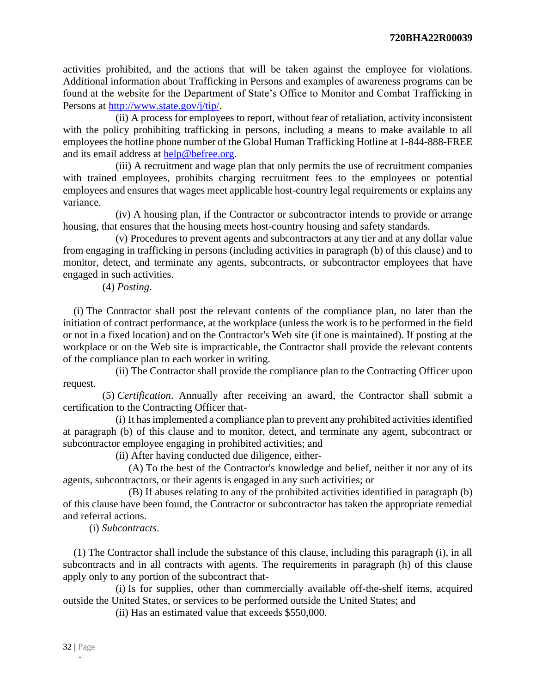activities prohibited, and the actions that will be taken against the employee for violations. Additional information about Trafficking in Persons and examples of awareness programs can be found at the website for the Department of State's Office to Monitor and Combat Trafficking in Persons at [http://www.state.gov/j/tip/.](http://www.state.gov/j/tip/)

 (ii) A process for employees to report, without fear of retaliation, activity inconsistent with the policy prohibiting trafficking in persons, including a means to make available to all employees the hotline phone number of the Global Human Trafficking Hotline at 1-844-888-FREE and its email address at [help@befree.org.](mailto:help@befree.org)

 (iii) A recruitment and wage plan that only permits the use of recruitment companies with trained employees, prohibits charging recruitment fees to the employees or potential employees and ensures that wages meet applicable host-country legal requirements or explains any variance.

 (iv) A housing plan, if the Contractor or subcontractor intends to provide or arrange housing, that ensures that the housing meets host-country housing and safety standards.

 (v) Procedures to prevent agents and subcontractors at any tier and at any dollar value from engaging in trafficking in persons (including activities in paragraph (b) of this clause) and to monitor, detect, and terminate any agents, subcontracts, or subcontractor employees that have engaged in such activities.

(4) *Posting*.

(i) The Contractor shall post the relevant contents of the compliance plan, no later than the initiation of contract performance, at the workplace (unless the work is to be performed in the field or not in a fixed location) and on the Contractor's Web site (if one is maintained). If posting at the workplace or on the Web site is impracticable, the Contractor shall provide the relevant contents of the compliance plan to each worker in writing.

 (ii) The Contractor shall provide the compliance plan to the Contracting Officer upon request.

 (5) *Certification*. Annually after receiving an award, the Contractor shall submit a certification to the Contracting Officer that-

 (i) It has implemented a compliance plan to prevent any prohibited activities identified at paragraph (b) of this clause and to monitor, detect, and terminate any agent, subcontract or subcontractor employee engaging in prohibited activities; and

(ii) After having conducted due diligence, either-

 (A) To the best of the Contractor's knowledge and belief, neither it nor any of its agents, subcontractors, or their agents is engaged in any such activities; or

 (B) If abuses relating to any of the prohibited activities identified in paragraph (b) of this clause have been found, the Contractor or subcontractor has taken the appropriate remedial and referral actions.

(i) *Subcontracts*.

(1) The Contractor shall include the substance of this clause, including this paragraph (i), in all subcontracts and in all contracts with agents. The requirements in paragraph (h) of this clause apply only to any portion of the subcontract that-

 (i) Is for supplies, other than commercially available off-the-shelf items, acquired outside the United States, or services to be performed outside the United States; and

(ii) Has an estimated value that exceeds \$550,000.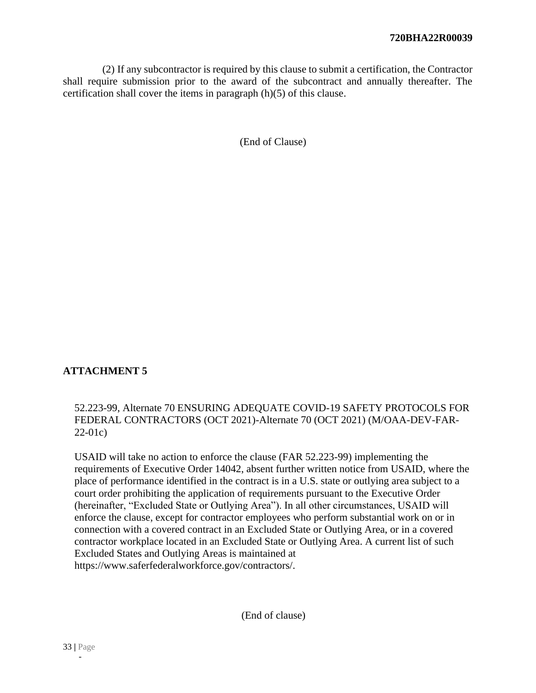(2) If any subcontractor is required by this clause to submit a certification, the Contractor shall require submission prior to the award of the subcontract and annually thereafter. The certification shall cover the items in paragraph (h)(5) of this clause.

(End of Clause)

# **ATTACHMENT 5**

52.223-99, Alternate 70 ENSURING ADEQUATE COVID-19 SAFETY PROTOCOLS FOR FEDERAL CONTRACTORS (OCT 2021)-Alternate 70 (OCT 2021) (M/OAA-DEV-FAR-22-01c)

USAID will take no action to enforce the clause (FAR 52.223-99) implementing the requirements of Executive Order 14042, absent further written notice from USAID, where the place of performance identified in the contract is in a U.S. state or outlying area subject to a court order prohibiting the application of requirements pursuant to the Executive Order (hereinafter, "Excluded State or Outlying Area"). In all other circumstances, USAID will enforce the clause, except for contractor employees who perform substantial work on or in connection with a covered contract in an Excluded State or Outlying Area, or in a covered contractor workplace located in an Excluded State or Outlying Area. A current list of such Excluded States and Outlying Areas is maintained at https://www.saferfederalworkforce.gov/contractors/.

(End of clause)